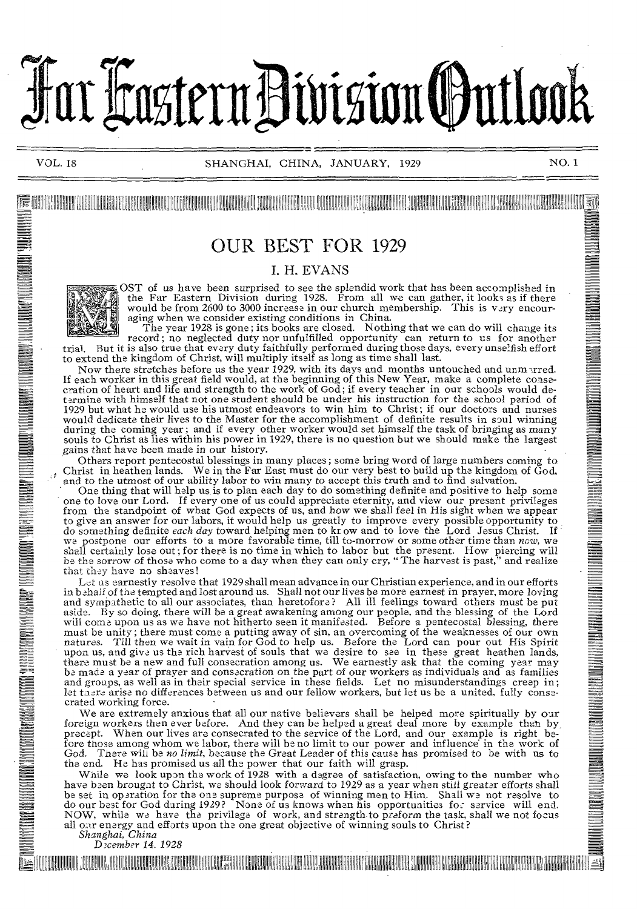# Far Hastern Division (Putlook

11111,111111111111"1111111111111111111111111;11 111111;111111111111111111111111111111111 11111111111 11111 1111111'1111 11111111111111 111111111111! 1111111111111111111111111111111111 111111111 1111111111111111111111 111111:1111111111111111111111111111111 1111111 11

### OUR BEST FOR 1929

### I. H. EVANS



OST of us have been surprised to see the splendid work that has been accomplished in the Far Eastern Division during 1928. From all we can gather, it looks as if there would be from 2600 to 3000 increase in our church membership. This is very encouraging when we consider existing conditions in China.

The year 1928 is gone ; its books are closed. Nothing that we can do will change its record; no neglected duty nor unfulfilled opportunity can return to us for another trial. But it is also true that every duty faithfully performed during those days, every unselfish effort to extend the kingdom of Christ, will multiply itself as long as time shall last.

Now there stretches before us the year 1929, with its days and months untouched and unm gred. If each worker in this great field would, at the beginning of this New Year, make a complete consecration of heart and life and strength to the work of God; if every teacher in our schools would determine with himself that 1929 but what he would use his utmost endeavors to win him to Christ; if our doctors and nurses would dedicate their lives to the Master for the accomplishment of definite results in soul winning during the coming year; and if every other worker would set himself the task of bringing as many souls to Christ as lies within his power in 1929, there is no question but we should make the largest gains that have been made in our history.

Others report pentecostal blessings in many places; some bring word of large numbers coming to Christ in heathen lands. We in the Far East must do our very best to build up the kingdom of God, and to the utmost of our ability labor to win many to accept this truth and to find salvation.

One thing that will help us is to plan each day to do something definite and positive to help some one to love our Lord. If every one of us could appreciate eternity, and view our present privileges from the standpoint of what God expects of us, and how we shall feel in His sight when we appear to give an answer for our labors, it would help us greatly to improve every possible opportunity to do something definite *each day* toward helping men to kr. ow and to love the Lord Jesus Christ. If *we* postpone our efforts to a more favorable time, till to-morrow or some other time than *now,* we shall certainly lose out; for there is no time in which to labor but the present. How piercing will **be the** *sorrow* of those who come to a day when they can only cry, " The harvest is past," and realize **that they have** no sheaves!

**Let as** earnestly resolve that 1929 shall mean advance in our Christian experience, and in our efforts in **behalf of** the tempted and lost around us. Shall not our lives be more earnest in prayer, more loving and sympathetic to all our associates, than heretofore? All ill feelings toward others must be put aside. By so doing, there will be a great awakening among our people, and the blessing of the Lord will come upon us as we have not hitherto seen it manifested. Before a pentecostal blessing, there must be unity; there must come a putting away of sin, an overcoming of the weaknesses of our own<br>natures. Till then we wait in vain for God to help us. Before the Lord can pour out His Spirit<br>upon us, and give us the rich be made a year of prayer and consecration on the part of our workers as individuals and as families and groups, as well as in their special service in these fields. Let no misunderstandings creep in; let taere arise no differences between us and our fellow workers, but let us be a united, fully consecrated working force.

We are extremely anxious that all our native believers shall be helped more spiritually by our foreign workers then ever before. And they can be helped a great deal more by example than by, precept. When our lives are consecrated to the service of the Lord, and our example is right be-fore those among whom we labor, there will be no limit to our power and influence' in the work of God. There will be *no limit,* because the Great Leader of this cause has promised to be with us to the end. He has promised us all the power that our faith will grasp.

While we look upon the work of 1928 with a degree of satisfaction, owing to the number who have been brought to Christ, we should look forward to 1929 as a year when still greater efforts shall be set in operation for the one supreme purpose of winning men to Him. Shall we not resolve to do our best for God daring 1929? None of us knows when his opportunities for service will end. NOW, while we have the privilege of work, and strength to preform the task, shall we not focus all Gar energy and efforts upon the one great objective of winning souls to Christ? *Shanghai, China* 

D3cember *14. 1928* 

is the community of the state of the community of the community of the community of the community of the community of  $\mathbb{Z}^d$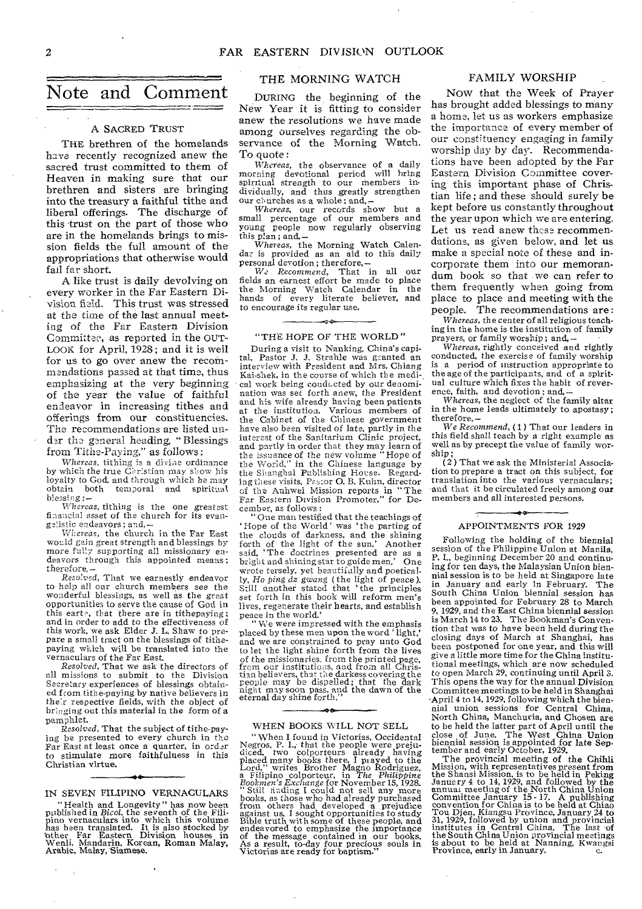### Note and Comment

### A SACRED TRUST

THE brethren of the homelands have recently recognized anew the sacred trust committed to them of Heaven in making sure that our brethren and sisters are bringing into the treasury a faithful tithe and liberal offerings. The discharge of this trust on the part of those who are in the homelands brings to mission fields the full amount of the appropriations that otherwise would fail far short.

A like trust is daily devolving on every worker in the Far Eastern Division field. This trust was stressed at the time of the last annual meeting of the Far Eastern Division Committee, as reported in the OUT-LOOK for April, 2928; and it is well for us to go over anew the recommendations passed at that time, thus emphasizing at the very beginning of the year the value of faithful endeavor in increasing tithes and offerings from our constituencies. The recommendations are listed under the general heading, "Blessings from Tithe-Paying," as follows :

*Whereas,* tithing is a divine ordinance by which the true Christian may show his loyalty to God, and through which *he* may obtain both temporal and spiritual *blessing ;—* 

*Whereas,* tithing is the one greatest financial asset of the church for its evangelistic endeavors; and, —

Whereas, the church in the Far East would gain great strength and blessings by more fully supporting all missionary endeavors through this appointed means; therefore, —

Resolved, That we earnestly endeavor to help all our church members see the wonderful blessings, as well as the great opportunities to serve the cause of God in this eart $\circ$ , that there are in tithepaying; and in order to add to the effectiveness of this work, we ask Elder *J.* L. Shaw to prepare a small tract on the blessings of tithepaying which will be translated into the vernaculars of the Far East.

*Resolved,* That we ask the directors of all missions to submit to the Division Secretary experiences of blessings obtained from tithe-paying by native believers in the7r respective fields, with the object of bringing out this material in the form of a pamphlet.

*Resolved,* That the subject of tithe-paying be presented to every church in the Far East at least once a quarter, in order to stimulate more faithfulness in this Christian virtue.

IN SEVEN FILIPINO VERNACULARS

"Health and Longevity" has now been<br>published in Bicol, the seventh of the Fili-<br>pino vernaculars into which this volume<br>has heen translated. It is also stocked by<br>other Far Eastern Division houses in<br>Wenli, Mandarin, Kore

### THE MORNING WATCH

DURING the beginning of the New Year it is fitting to consider anew the resolutions we have made among ourselves regarding the observance of the Morning Watch. To quote :

*Whereas,* the observance of a daily morning devotional period will bring spiritual strength to our members individually, and thus greatly strengthen our churches as a whole; and, *—* 

*Whereas,* our records show but a small percentage of our members and young people now regularly observing this plan; and, *— Whereas,* the Morning Watch Calen-

dar is provided as an aid to this daily personal devotion ; therefore, — We *Recommend,* That in all our

fields an earnest effort be made to place the Morning Watch Calendar in the hands of every literate believer, and to encourage its regular use.

#### "THE HOPE OF THE WORLD"

During a visit to Nanking, China's capital, Pastor J. J. Strahle was granted an interview with President and Mrs. Chiang Kai-shek, in the course of which the medical work being conducted by our denomination was set forth anew, the President and his wife already having been patients at the institution. Various members of the Cabinet of the Chinese government have also been visited of late, partly in the interest of the Sanitarium Clinic project, and partly in order that they may learn of the issuance of the new volume "Hope of the World," in the Chinese language by the Shanghai Publishing Horse. Regarding these visits, Prsror 0. B. Kuhn, director of the Anhwei Mission reports in "The Far Eastern Division Promoter," for December, as follows :

"One man testified that the teachings of `Hope of the World' was `the parting of the clouds of darkness, and the shining forth of the light of the sun.' Another said, 'The doctrines presented are as a bright and shining star to guide men.' One wrote tersely, yet beautifully and poetically, *Ho ping dz gang (the* light of peace ). Still another stated that the principles set forth in this book will reform men's lives, regenerate their hearts, and establish peace in the world.'

We were impressed with the emphasis placed by these men upon the word ' light,' and we are constrained to pray unto God to let the light shine forth from the lives of the missionaries, from the printed page,<br>from our institutions, and from all Chris-<br>tian believers, that the darkess covering the<br>people may be dispelled; that the dark<br>night may soon pass, and the dawn of the<br>eternal d

### WHEN BOOKS WILL NOT SELL

"When I found in Victorias, Occidental<br>Negros, P. I., that the people were preju-<br>diced, two colporteurs already having<br>placed many books there, I payed to the<br>Lord," writes Brother Magno Rodriguez,<br> $Bockmer$  Sacharge for Nove of the message contained in our books. As a result, to-day four precious souls in Victories are ready for baptism."

#### FAMILY WORSHIP

NOW that the Week of Prayer has brought added blessings to many a home, let us as workers emphasize the importance of every member of our constituency engaging in family worship day by day. Recommendations have been adopted by the Far Eastern Division Committee covering this important phase of Christian life ; and these should surely be kept before us constantly throughout the year upon which we are entering. Let us read anew these recommendations, as given below, and let us make a special note of these and incorporate them into our memorandum book so that we can refer to them frequently when going from place to place and meeting with the people. The recommendations are :

*Whereas,* the center of all religious teaching in the home is the institution of family

prayers, or family worship; and, *— Whereas,* rightly conceived and rightly conducted, the exercise of family worship is a period of instruction appropriate to the age of the participants, and of a spiritual culture which fixes the habit of reverence, faith, and devotion; and, *—* 

*Whereas,* the neglect of the family altar in the home leads ultimately to apostasy; therefore, —

We *Recommend, (1)* That our leaders in this field shall teach by a right example as well as by precept the value of family worship;

 $(2)$  That we ask the Ministerial Association to prepare a tract on this sublect, for translation into the various vernaculars; and that it be circulated freely among our members and all interested persons.

### $\bullet \circ$ APPOINTMENTS FOR 1929

Following the holding of the biennial session of the Philippine Union at Manila, P. I., beginning December 20 and continuing for ten days, the Malaysian Union biennial session is to be held at Singapore late in January and early in February. The South China Union biennial session has been appointed for February 28 to March 9, 1929, and the East China biennial session is March 14 to 23. The Bookman's Conven-tion that was to have been held during the closing days of March at Shanghai, has been postponed for one year, and this will give a little more time for the China institutional meetings, which are now scheduled to open March 29, continuing until April 3. This opens the way for the annual Division Committee meetings to be held in Shanghai -April 4 to 14, 1929, following which the biennial union sessions for Central China, North China, Manchuria, and Chosen are to be held the latter part of April until the close of June. The West China Union biennial session is appointed for late Sep-tember and early October, 1929.

The provincial meeting of the Chihli<br>Mission, with representatives present from<br>the Shansi Mission, is to be held in Peking<br>January 4 to 14, 1929, and followed by the<br>anuual meeting of the North China Union<br>committee Janu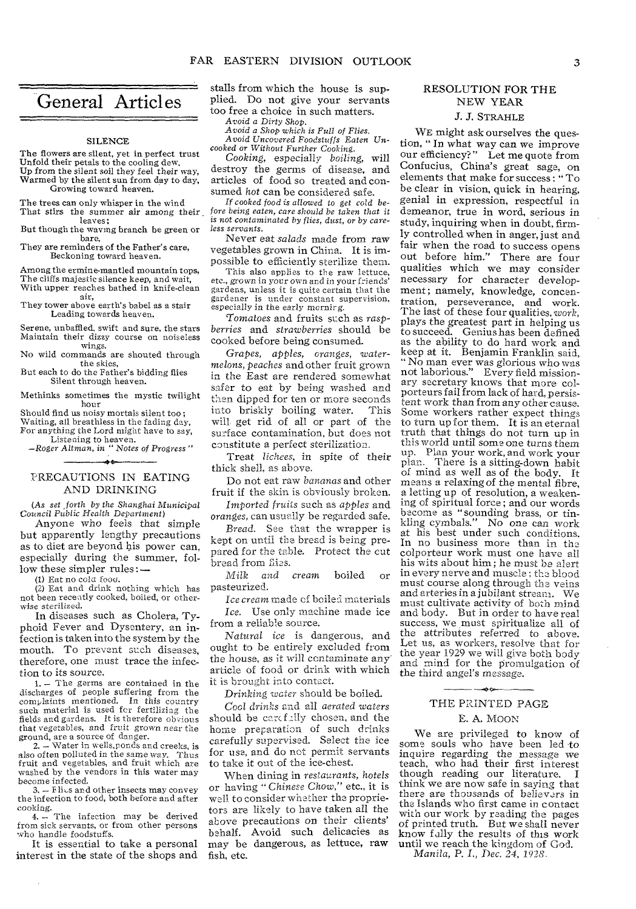### General Articles

بنسب

#### SILENCE

The flowers are silent, yet in perfect trust Unfold their petals to the cooling dew. Up from the silent soil they feel their way, Warmed by the silent sun from day to day, Growing toward heaven.

The trees can only whisper in the wind That stirs the *summer* air among their leaves;

But though the waving branch be green or bare,

They are reminders of the Father's care, Beckoning toward heaven.

Among the ermine-mantled mountain tops, The cliffs majestic silence keep, and wait, With upper reaches bathed in knife-clean air,

They tower above earth's babel as a stair Leading towards heaven.

Serene, unbaffled, swift and sure, the stars Maintain their dizzy course on noiseless wings.

No wild commands are shouted through the skies,

But each to do the Father's bidding flies Silent through heaven.

Methinks sometimes the mystic twilight hour

Should find us noisy mortals silent too ; Waiting, all breathless in the fading day, For anything the Lord might have to say,

Listening to heaven. —Roger *Altman, in " Notes of Progress "*  ے ہے۔

### PRECAUTIONS IN EATING AND DRINKING

*(As set , forth by the Shanghai Municipal Council* Public *Health Department)* 

Anyone *who* feels that simple but apparently lengthy precautions as to diet are beyond his power can, especially during the summer, follow these simpler rules :-

(1) Eat no cold food.

(2) Eat and drink nothing which has not been recently cooked, boiled, or otherwise sterilized.

In diseases such as Cholera, Typhoid Fever and Dysentery, an infection is taken into **the system by the**  mouth. To **prevent** such **diseases,**  therefore, **one must trace the infection** to **its source.** 

**1. —** The germs are contained in the discharges of people suffering from the complaints mentioned. In this country such material is used for fertilizing the fields and gardens. It is therefore obvious that vegetables, *and* fruit grown near the ground, are a source of danger.

2. — Water in wells,ponds and creeks, is **also** often polluted in the same way. Thus fruit and vegetables, and fruit which are washed by the vendors in this water may become infected.

3. - Flits and other insects may convey<br>the infection to food, both before and after cooking.

4. - The infection may be derived from sick servants, or from other persons who handle foodstuffs.

It is essential to take a personal interest in the state of the shops and

stalls from which the house is supplied. Do not give your servants too free a choice in such matters.

*Avoid a Dirty Shop.* 

*Avoid a Shop which is Full of Flies. Avoid Uncovered Foodstuffs Eaten Uncooked* or *Without Further* Cooking.

*Cooking,* especially *boiling,* will destroy the germs of disease, and articles of food so treated and consumed hot can be considered safe.

*If cooked food is allowed to get cold before being eaten, care should be taken that it is* not *contaminated* by *flies,* dust, or by *careless servants.* 

Never eat *salads* made from raw vegetables grown in China. It is impossible to efficiently **sterilize them.** 

This also applies to the raw lettuce, etc., grown *in* your own and in your *friends'*  gardens, unless it is quite certain that the gardener is under constant supervision, especially *in* the *early mornir g.* 

*Tomatoes* and fruits **such** as *raspberries* and *strawberries* should be cooked before being **consumed.** 

*Grapes, apples, oranges, watermelons, peaches* and **other fruit grown in the East are rendered somewhat safer to eat by being washed and then dipped** for ten **or more seconds into** briskly boiling **water. This will- get** rid of all or **part of the surface** contamination, **but does not constitute a perfect sterilization.** 

Treat *lichees,* **in spite of their**  thick **shell, as above.** 

**Do not eat raw** *bananas* **and other**  fruit if **the skin is obviously broken.** 

*Imported fruits* **such** *as apples* **and**  *oranges,* **can usually be regarded safe.** 

*Bread.* **See that the wrapper** is **kept on until the bread is being prepared for the table. Protect the cut bread from flies.** 

*Milk and cream* boiled or **pasteurized.** 

*Ice cream* **made of boiled materials**  *Ice.* **Use only machine made ice**  from a **reliable source.** 

*Natural ice* **is dangerous,** and ought **to be entirely excluded from the house, as it will contaminate** any **article of food or drink with** which it is **brought into contact.** 

**Drinking** *water* **should be boiled.** 

Cool *drinks* **and all** *aerated waters*  should **be card:11y chosen, and the home preparation of such drinks carefully supervised. Select the** ice for **use, and do not permit** servants to **take it out of the ice-chest.** 

**When dining in** *restaurants, hotels*  **or having** *"Chinese Chow,"* etc., it is **well to consider whether** the proprietors **are** likely to **have** taken all the **above** precautions on their clients' behalf. Avoid such delicacies as may be dangerous, as lettuce, raw fish, etc.

### RESOLUTION **FOR THE**  NEW YEAR

### *J. J.* STRAHLE

WE might ask ourselves the question, " In what way can we improve our efficiency?" Let me quote from Confucius, China's great sage, on elements that make for success: "To be clear in vision, quick in hearing, genial in expression, respectful in demeanor, true in word, serious in study, inquiring when in doubt, firmly controlled when in anger, just and fair when the road to success opens out before him." There are four qualities which we may consider necessary for character development; namely, knowledge, concentration, perseverance, and work. The last of these four qualities, work, plays the greatest part in helping **us**  to succeed. Genius has been defined as the ability to do hard work and keep at it. Benjamin Franklin said, " No man ever *was* glorious who **was**  not laborious." Every field missionary secretary knows that more **col**porteurs fail from lack of hard, persistent work than from any other cause. Some workers rather expect things to turn up for them. It is an eternal **truth** that things do not turn up in this world until some one *turns* them **up. Plan** your work, and work your plan. There is a sitting-down habit **of mind** as well as of the body. It means a relaxing of the mental fibre, *a* letting up of resolution, a weakening of spiritual force; and **our** words become as "sounding brass, **or tin-** $No$  one can work at his best under such **conditions.**  In no business more **than in the**  colporteur work must **one have all**  his wits about him; he **must be alert**  in every nerve and muscle ; **the blood**  must course along through **the veins and** arteries in a jubilant **stream. We**  must cultivate activity of **both mind**  and body. But in order to **have real**  success, we must spiritualize **all of**  the **attributes** referred **to above.**  Let **us,** as **workers, resolve that for the year 1929 we will give both body**  and **mind for the promulgation of the third angel's message.** 

### ---THE PRINTED PAGE

### **E. A.** MOON

We are privileged to **know** of some souls who have been **led** to inquire regarding the message we teach, who had their first interest<br>though reading our literature. I though reading our literature. think we are now safe in saying **that**  there are thousands of believers **in**  the Islands who first came in contact with our work by reading the pages of printed truth. But we shall never know fully the results of this work until we reach the **kingdom** of God. *Manila, P. I., Dec. 24, 1928.*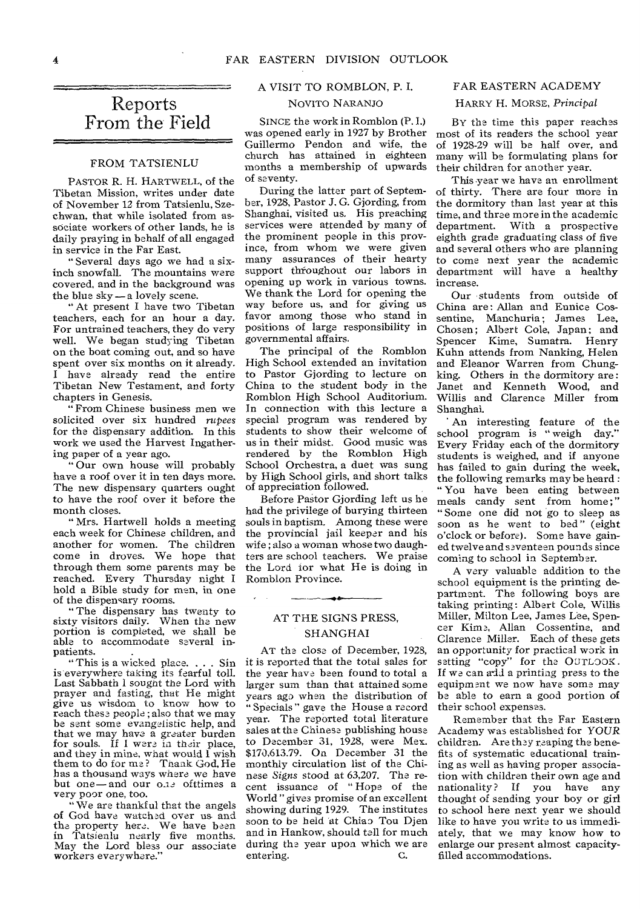### Reports From the Field

### FROM TATSIENLU

PASTOR R. H. HARTWELL, of the Tibetan Mission, writes under date of November 12 from Tatsienlu, Szechwan, that while isolated from associate workers of other lands, he is daily praying in behalf of all engaged in service in the Far East.

" Several days ago we had a sixinch snowfall. The mountains were covered, and in the background was the blue sky — a lovely scene.

"At present I have two Tibetan teachers, each for an hour a day. For untrained teachers, they do very well. We began studying Tibetan on the boat coming out, and so have spent over six months on it already. I have already read the entire Tibetan New Testament, and forty chapters in Genesis.

" From Chinese business men we solicited over six hundred rupees for the dispensary addition. In this work we used the Harvest Ingathering paper of a year ago.

" Our own house will probably have a roof over it in ten days more. The new dispensary quarters ought to have the roof over it before the month closes.

" Mrs. Hartwell holds a meeting each week for Chinese children, and another for women. The children come in droves. We hope that through them some parents may be reached. Every Thursday night I hold a Bible study for men, in one of the dispensary rooms.

" The dispensary has twenty to sixty visitors daily. When the new portion is completed, we shall be able to accommodate several inpatients.

"This is a wicked place. . . . Sin is everywhere taking its fearful toll. Last Sabbath I sought the Lord with prayer and fasting, that He might give us wisdom to know how to reach these people ; also that we may be sent some evangelistic help, and that we may have a greater burden for souls. If I were in their place, and they in mine, what would I wish them to do for me? Thank God, He has a thousand ways where we have but one—and our one ofttimes a very poor one, too.

"We are thankful that the angels of God have watched over us- and the property here. We have been in Tatsienlu nearly five months. May the Lord bless our associate workers everywhere."

### A VISIT TO ROMBLON, P. I. FAR EASTERN ACADEMY

### NOVITO NARANJO

SINCE the work in Romblon (P.1.) was opened early in 1927 by Brother Guillermo Pendon and wife, the church has attained in eighteen months a membership of upwards of seventy.

During the latter part of September, 1928, Pastor J. G. Gjording, from Shanghai, visited us. His preaching services were attended by many of the prominent people in this province, from whom we were given many assurances of their hearty support throughout our labors in opening up work in various towns. We thank the Lord for opening the way before us, and for giving us favor among those who stand in positions of large responsibility in governmental affairs.

The principal of the Romblon High School extended an invitation to Pastor Gjording to lecture on China to the student body in the Romblon High School Auditorium. In connection with this lecture a special program was rendered by students to show their welcome of us in their midst. Good music was rendered by the Romblon High School Orchestra, a duet was sung by High School girls, and short talks of appreciation followed.

Before Pastor Gjording left us he had the privilege of burying thirteen souls in baptism. Among these were the provincial jail keeper and his wife ; also a woman whose two daughters are school teachers. We praise the Lord for what He is doing in Romblon Province.

### AT THE SIGNS PRESS, SHANGHAI

AT the close of December, 1923, it is reported that the total sales for the year have been found to total a larger sum than that attained some years ago when the distribution of " Specials " gave the House a record year. The reported total literature sales at the Chinese publishing house to December 31, 1928, were Mex. \$170,613.79. On December 31 the monthly circulation list of the Chinese *Signs* stood at 63,207. The recent issuance of " Hope of the World "gives promise of an excellent showing during 1929. The institutes soon to be held at Chiao Tou Djen and in Hankow, should tell for much during the year upon which we are entering.  $C$ . entering.

### HARRY H. MORSE, *Principal*

BY the time this paper reaches most of its readers the school year of 1928-29 will be half over, and many will be formulating plans for their children for another year.

This year we have an enrollment of thirty. There are four more in the dormitory than last year at this time, and three more in the academic department. With a prospective eighth grade graduating class of five and several others who are planning to come next year the academic department will have a healthy increase.

Our students from outside of China are: Allan and Eunice Cossentine, Manchuria; James Lee, Chosen; Albert Cole, Japan; and Spencer Kime, Sumatra. Henry Kuhn attends from Nanking, Helen and Eleanor Warren from Chungking. Others in the dormitory are: Janet and Kenneth Wood, and Willis and Clarence Miller from Shanghai.

An interesting feature of the school program is " weigh day?' Every Friday each of the dormitory students is weighed, and if anyone has failed to gain during the week, the following remarks may be heard : " You have been eating between meals candy sent from home;" "Some one did not go to sleep as soon as he went to bed" (eight o'clock or before). Some have gained twelve and seventeen pounds since coming to school in September.

A very valuable addition to the school equipment is the printing department. The following boys are taking printing : Albert Cole, Willis Miller, Milton Lee, James Lee, Spencer Kime, Allan Cossentine, and Clarence Miller. Each of these gets an opportunity for practical work in setting "copy" for the OUTLOOK. If we can add a printing press to the equipment we now have some may be able to earn a good portion of their school expenses.

Remember that the Far Eastern Academy was established for YOUR children. Are they reaping the benefits of systematic educational training as well as having proper association with children their own age and nationality? If you have any thought of sending your boy or girl to school here next year we should like to have you write to us immediately, that we may know how to enlarge our present almost capacityfilled accommodations.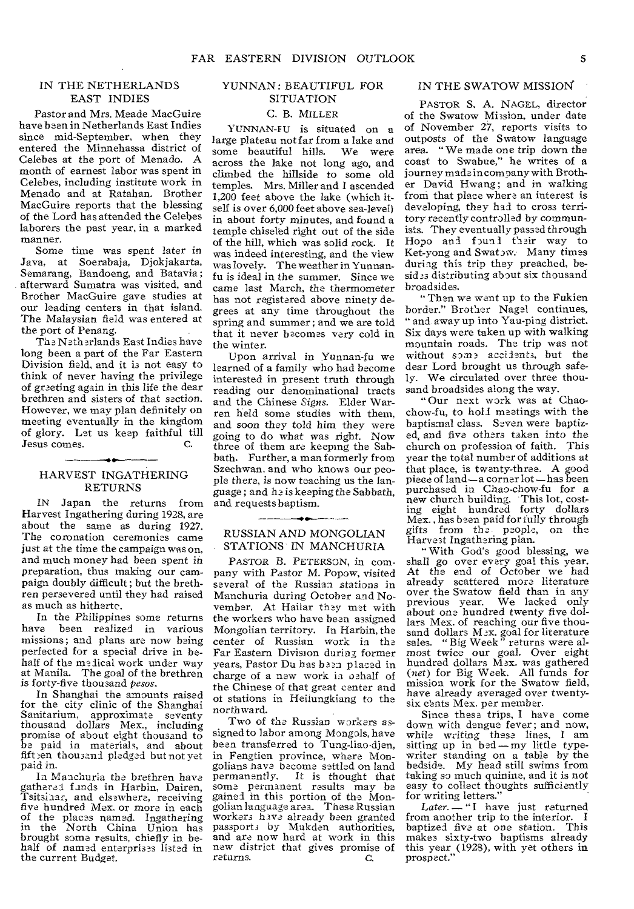### IN THE NETHERLANDS EAST INDIES

Pastor and Mrs. Meade MacGuire have been in Netherlands East Indies since mid-September, when they entered the Minnehassa district of Celebes at the port of Menado. A month of earnest labor was spent in Celebes, including institute work in Menado and at Ratahan. Brother MacGuire reports that the blessing of the Lord has attended the Celebes laborers the past year, in a marked manner.

Some time was spent later in Java, at Soerabaja, Djokjakarta, Semarang, Bandoeng, and Batavia ; afterward Sumatra was visited, and Brother MacGuire gave studies at our leading centers in that island. The Malaysian field was entered at the port of Penang.

The Netherlands East Indies have long been a part of the Far Eastern Division field, and it is not easy to think of never having the privilege of greeting again in this life the dear brethren and sisters of that section. However, we may plan definitely on meeting eventually in the kingdom of glory. Let us keep faithful till Jesus comes.

### --HARVEST INGATHERING RETURNS

IN Japan the returns from Harvest Ingathering during 1928, are about the same as during 1927. The coronation ceremonies came just at the time the campaign was on, and much money had been spent in preparation, thus making our campaign doubly difficult ; but the brethren persevered until they had raised as much as hitherte.

In the Philippines some returns have been realized in various missions ; and plans are now being perfected for a special drive in behalf of the medical work under way at Manila. The goal of the brethren is forty-five thousand *pesos.* 

In Shanghai the amounts raised for the city clinic of the Shanghai Sanitarium, approximate seventy thousand dollars Mex., including promise of about eight thousand to be paid in materials, and about<br>fift en thousand pledged but not yet paid in.

In Manchuria the brethren have gathered funds in Harbin, Dairen, Tsitsinar, and elsewhere, receiving five hundred Mex. or more in each of the places named. Ingathering in the North China Union has brought some results, chiefly in behalf of named enterprises listed in the current Budget.

### YUNNAN: BEAUTIFUL FOR SITUATION

### C. B. MILLER

YUNNAN-FU is situated on a large plateau not far from a lake and some beautiful hills. We were across the lake not long ago, and climbed the hillside to some old temples. Mrs. Miller and I ascended 1,200 feet above the lake (which itself is over 6,000 feet above sea-level) in about forty minutes, and found a temple chiseled right out of the side of the hill, which was solid rock. It was indeed interesting, and the view was lovely. The weather in Yunnanfu is ideal in the summer. Since we came last March, the thermometer has not registered above ninety degrees at any time throughout the spring and summer ; and we are told that it never becomes very cold in the winter.

Upon arrival in Yunnan-fu we learned of a family who had become interested in present truth through reading our denominational tracts and the Chinese *Signs.* Elder Warren held some studies with them, and soon they told him they were going to do what was right. Now three of them are keeping the Sabbath. Further, a man formerly from Szechwan, and who knows our people there, is now teaching us the language ; and he is keeping the Sabbath, and requests baptism.

### RUSSIAN AND MONGOLIAN STATIONS IN MANCHURIA

PASTOR B. PETERSON, in company with Pastor M. Popow, visited several of the Russian stations in Manchuria during October and November, At Hailer they met with the workers who have been assigned Mongolian territory. In Harbin, the center of Russian work in the Far Eastern Division during former years, Pastor Du has been placed in charge of a new work in oehalf of the Chinese of that great center and of stations in Heilungkiang to the northward.

Two of the Russian workers assigned to labor among Mongols, have been transferred to Tung-liao djen, in Fengtien province, where Mongolians nave become settled on land permanently. It is thought that some permanent results may be gained in this portion of the Mongolian language area. These Russian workers nava already been granted passports by Mukden authorities, and are now hard at work in this new district that gives promise of returns. C.

### IN THE SWATOW MISSION

PASTOR S. A. NAGEL, director of the Swatow Mission, under date of November 27, reports visits to outposts of the Swatow language area. " We made one trip down the coast to Swabue," he writes of a journey made in company with Brother David Hwang; and in walking froni that place where an interest is developing, they had to cross territory recently controlled by communists. They eventually passed through Hopo and found their way to Ket-yong and Swatow. Many times during this trip they preached, besides distributing about six thousand broadsides.

" Then we want up to the Fukien border." Brother Nagel continues, " and away up into Yau-ping district. Six days were taken up with walking mountain roads. The trip was not without some accidents, but the dear Lord brought us through safely. We circulated over three thousand broadsides along the way.

"Our next work was at Chaochow-fu, to hold meetings with the baptismal class. Seven were baptized, and five others taken into the church on profession of faith. This year the total number of additions at that place, is twenty-three. A good piece of land—a corner lot —has been purchased in Chao-chow-fu for a new church building. This lot, cost-ing eight hundred forty dollars Mex., has been paid for fully through gifts from the people, on the Harvest Ingathering plan.

" With God's good blessing, we shall go over every goal this year. At the end of October we had already scattered more literature over the Swatow field than in any previous year. We lacked only about one hundred twenty five dol-lars Mex. of reaching our five thousand dollars M 2X. goal for literature sales. " Big Week " returns were al-most twice our goal. Over eight hundred dollars Mex. was gathered *(net)* for Big Week. All funds for mission work for the Swatow field, have already averaged over twentysix cents Mex. per member.

Since these trips, I have come down with dengue fever; and now, while writing these lines, I am<br>sitting up in bed—my little typewriter standing on a table by the bedside. My head still swims from taking so much quinine, and it is not easy to collect thoughts sufficiently for writing letters."

Later. — "I have just returned<br>from another trip to the interior. I baptized five at one station. This makes sixty-two baptisms already this year (1928), with yet others in prospect."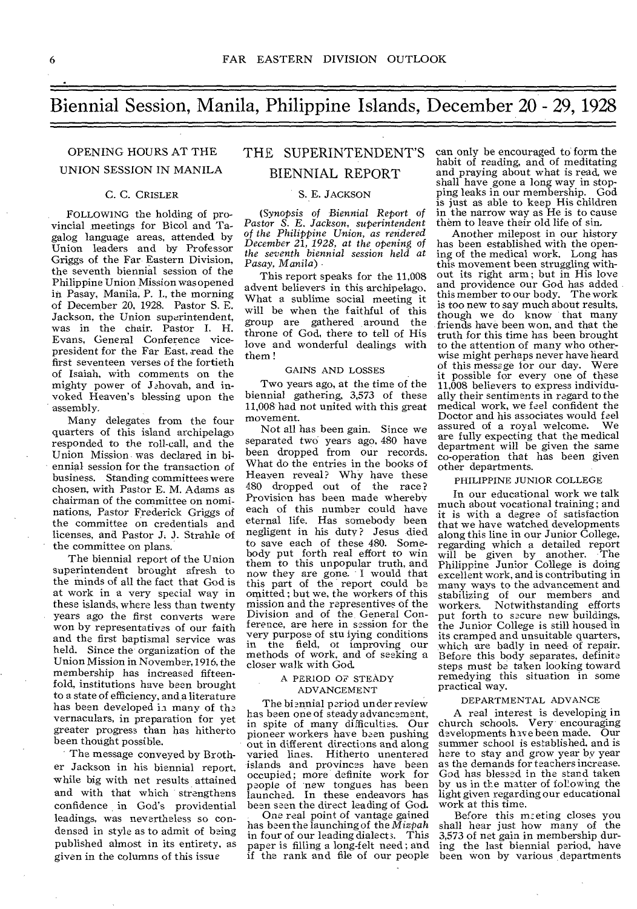### Biennial Session, Manila, Philippine Islands, December 20 - 29, 1928

## UNION SESSION IN MANILA BIENNIAL REPORT

### C. C. CRISLER

FOLLOWING the holding of provincial meetings for Bicol and Tagalog language areas, attended by Union leaders and by Professor Griggs of the Far Eastern Division, the seventh biennial session of the Philippine Union Mission was opened in Pasay, Manila, P. I., the morning of December 20, 1928. Pastor S. E. Jackson, the Union superintendent, was in the chair. Pastor I. H. Evans, General Conference vicepresident for the Far East, read the first seventeen verses of the fortieth of Isaiah, with comments on the mighty power of Jehovah, and invoked Heaven's blessing upon the assembly.

Many delegates from the four quarters of this island archipelago responded to the roll-call, and the Union Mission was declared in biennial session for the transaction of business. Standing committees were chosen, with Pastor E. M. Adams as chairman of the committee on nominations, Pastor Frederick Griggs of the committee on credentials and licenses, and Pastor J. J. Strahle of the committee on plans.

The biennial report of the Union superintendent brought afresh to the minds of all the fact that God is at work in a very special way in these islands, where less than twenty years ago the first converts were won by representatives of our faith and the first baptismal service was held. Since the organization of the Union Mission in November, 1916, the membership has increased fifteenfold, institutions have been brought to a state of efficiency, and a literature has been developed in many of the vernaculars, in preparation for yet greater progress than has hitherto been thought possible.

The message conveyed by Brother Jackson in his biennial report, while big with net results attained and with that which strengthens confidence in God's providential leadings, was nevertheless so condensed in style as to admit of being published almost in its entirety, as given in the columns of this issue

# OPENING HOURS AT THE THE SUPERINTENDENT'S

### S. E. JACKSON

(Synopsis of *Biennial* Report of *Pastor S. E. Jackson, superintendent of the Philippine Union, as rendered December 21, 1928, at the opening of the seventh biennial session held at Pasay, Manila)* 

This report speaks for the 11,008 advent believers in this archipelago. What a sublime social meeting it will be when the faithful of this group are gathered around the throne of God, there to tell of His love and wonderful dealings with them !

### GAINS AND LOSSES

Two years ago, at the time of the biennial gathering, 3,573 of these 11,008 had not united with this great movement.

Not all has been gain. Since we separated two years ago, 480 have been dropped from our records. What do the entries in the books of Heayen reveal? Why have these 480 dropped out of the race? Provision has been made whereby each of this number could have eternal life. Has somebody been negligent in his duty? Jesus died to save each of these 480. Somebody put forth real effort to win them to this unpopular truth, and now they are gone. I would that this part of the report could be omitted ; but we, the workers of this mission and the representives of the Division and of the General Conference, are here in session for the very purpose of stu lying conditions in the field, of improving our methods of work, and of seeking a closer walk with God.

#### A PERIOD OF STEADY ADVANCEMENT

The biennial period un der review has been one of steady advancement, in spite of many difficulties. Our pioneer workers have been pushing out in different directions and along varied lines. Hitherto unentered islands and provinces have been occupied; more definite work for people of new tongues has been launched. In these endeavors has bean seen the direct leading of God.

One real point of vantage gained has been the launching of the *Mizpah*  in four of our leading dialects. This paper is filling a long-felt need ; and if the rank and file of our people

can only be encouraged to form the habit of reading, and of meditating and praying about what is read, we shall have gone a long way in stopping leaks in our membership. God is just as able to keep His children in the narrow way as He is to cause them to leave their old life of sin.

Another milepost in our history has been established with the opening of the medical work. Long has this movement been struggling without its right arm ; but in His love and providence our God has added this member to our body. The work is too new to say much about results, though we do know that many friends have been won, and that the truth for this time has been brought to the attention of many who otherwise might perhaps never have heard of this messoge for our day. Were it possible for every one of these 11,008 believers to express individually their sentiments in regard to the medical work, we feel confident the Doctor and his associates would feel<br>assured of a royal welcome. We assured of a royal welcome. are fully expecting that the medical department will be given the same co-operation that has been given other departments.

#### PHILIPPINE JUNIOR COLLEGE

In our educational work we talk much about vocational training; and it is with a degree of satisfaction that we have watched developments along this line in our Junior College, regarding which a detailed report will be given by another. The Philippine Junior College is doing excellent work, and is contributing in many ways to the advancement and stabilizing of our members and workers. Notwithstanding efforts put forth to secure new buildings, the Junior College is still housed in its cramped and unsuitable quarters, which are badly in need of repair. Before this body separates, definite steps must be taken looking toward remedying this situation in some practical way.

#### DEPARTMENTAL ADVANCE

A real interest is developing in church schools. Very encouraging developments have been made. Our summer school is established, and is here to stay and grow year by year as the demands for teachers increase. God has blessed in the stand taken by us in the matter of following the light given regarding our educational work at this time.

Before this m:eting closes you shall hear just how many of the 3,573 of net gain in membership during the last biennial period, have been won by various departments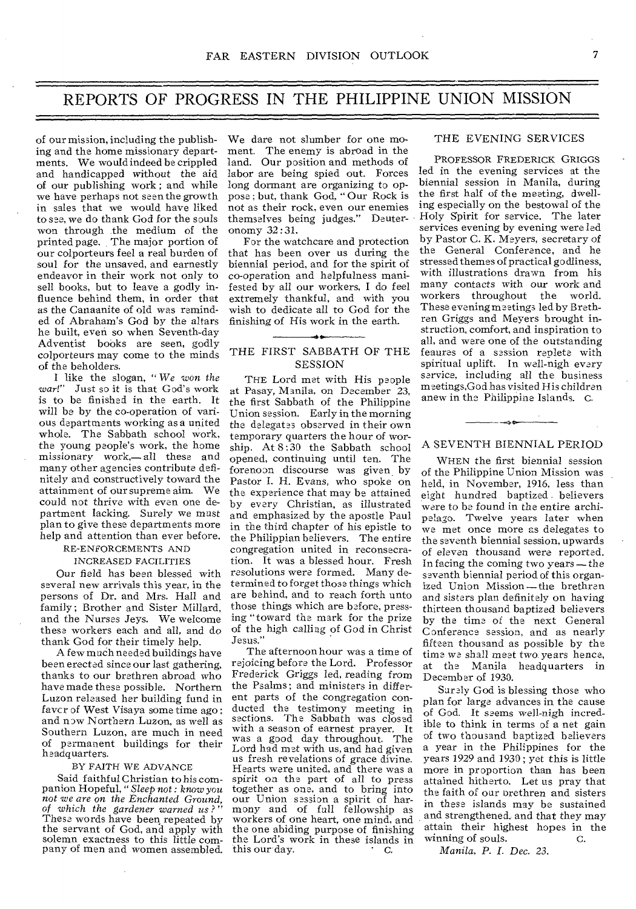### REPORTS OF PROGRESS IN THE PHILIPPINE UNION MISSION

of our mission, including the publishing and the home missionary departments. We would indeed be crippled and handicapped without the aid of our publishing work ; and while we have perhaps not seen the growth in sales that we would have liked to see, we do thank God for the souls won through the medium of the printed page. The major portion of our colporteurs feel a real burden of soul for the unsaved, and earnestly endeavor in their work not only to sell books, but to leave a godly influence behind them, in order that as the Canaanite of old was reminded of Abraham's God by the altars he built, even so when Seventh-day Adventist books are seen, godly colporteurs may come to the minds of the beholders.

I like the slogan, *"We won the*  Just so it is that God's work is to be finished in the earth. It will be by the co-operation of various departments working as a united whole. The Sabbath school work, the young people's work, the home missionary work,— all these and many other agencies contribute definitely and constructively toward the attainment of our supreme aim. We could not thrive with even one department lacking. Surely we must plan to give these departments more help and attention than ever before.

### RE-ENFORCEMENTS AND INCREASED FACILITIES

Our field has been blessed with several new arrivals this year, in the persons of Dr. and Mrs. Hall and family ; Brother and Sister Millard, and the Nurses Jeys. We welcome these workers each and all, and do thank God for their timely help.

A few much needed buildings have been erected since our last gathering, thanks to our brethren abroad who have made these possible. Northern Luzon released her building fund in favcr of West Visaya some time ago ; and now Northern Luzon, as well as Southern Luzon, are much in need of permanent buildings for their headquarters.

#### BY FAITH WE ADVANCE

Said faithful Christian to his companion Hopeful, *"Sleep not : know you not we are on the Enchanted Ground, of which the gardener warned us?"*  These words have been, repeated by the servant of God, and apply with solemn exactness to this little company of men and women assembled.

We dare not slumber for one moment. The enemy is abroad in the land. Our position and methods of labor are being spied out. Forces long dormant are organizing to oppose ; but, thank God, " Our Rock is not as their rock, even our enemies themselves being judges." Deuteronomy 32:31.

For the watchcare and protection that has been over us during the biennial period, and for the spirit of co-operation and helpfulness manifested by all our workers, I do feel extremely thankful, and with you wish to dedicate all to God for the finishing of His work in the earth.

### 4\* THE FIRST SABBATH OF THE SESSION

THE Lord met with His people at Pasay, Manila, on December 23, the first Sabbath of the Philippine Union session. Early in the morning the delegates observed in their own temporary quarters the hour of worship. At  $8:30$  the Sabbath school opened, continuing until ten. The forenoon discourse was given by Pastor I. H. Evans, who spoke on the experience that may be attained by every Christian, as illustrated and emphasized by the apostle Paul in the third chapter of his epistle to the Philippian believers. The entire congregation united in reconsecration. It was a blessed hour. Fresh resolutions were formed. Many determined to forget those things which are behind, and to reach forth unto those things which are before, pressing "toward the mark for the prize of the high calling of God in Christ Jesus."

The afternoon hour was a time of rejoicing before the Lord. Professor Frederick Griggs led, reading from the Psalms; and ministers in different parts of the congregation conducted the testimony meeting in sections. The Sabbath was closed with a season of earnest prayer. It was a good day throughout. The Lord had met with us, and had given us fresh revelations of grace divine. Hearts were united, and there was a spirit on the part of all to press together as one, and to bring into our Union session a spirit of harmony and of full fellowship as workers of one heart, one mind, and the one abiding purpose of finishing the Lord's work in these islands in<br>this our day. this our day.

### THE EVENING SERVICES

PROFESSOR FREDERICK GRIGGS led in the evening services at the biennial session in Manila, during the first half of the meeting, dwelling especially on the bestowal of the Holy Spirit for service. The later services evening by evening were led by Pastor C. K. Meyers, secretary of the General Conference, and he stressed themes of practical godliness, with illustrations drawn from his many contacts with our work and workers throughout the world. These evening meetings led by Brethren Griggs and Meyers brought instruction, comfort, and inspiration to all, and were one of the outstanding feaures of a session replete with spiritual uplift. In well-nigh every *service,* including all the business meetings,God has visited His children anew in the Philippine Islands. C.

### $-$ A SEVENTH BIENNIAL PERIOD

WHEN the first biennial session of the Philippine Union Mission was held, in November, 1916, less than eight hundred baptized believers were to be found in the entire archipelago. Twelve years later when we met once more as delegates to the seventh biennial session, upwards of eleven thousand were reported. In facing the coming two years—the seventh biennial period of this organized Union Mission—the brethren and sisters plan definitely on having thirteen thousand baptized believers by the time of the next General Conference session, and as nearly fifteen thousand as possible by the time we shall meet two years hence, at the Manila headquarters in December of 1930.

Surely God is blessing those who plan for large advances in the cause of God. It seems well-nigh incredible to think in terms of a net gain of two thousand baptized believers a year in the Philippines for the years 1929 and 1930 ; yet this is little more in proportion than has been attained hitherto. Let us pray that the faith of oar orethren and sisters in these islands may be sustained and strengthened, and that they may attain their highest hopes in the winning of souls. winning of souls.

*Manila, P. I. Dec. 23.*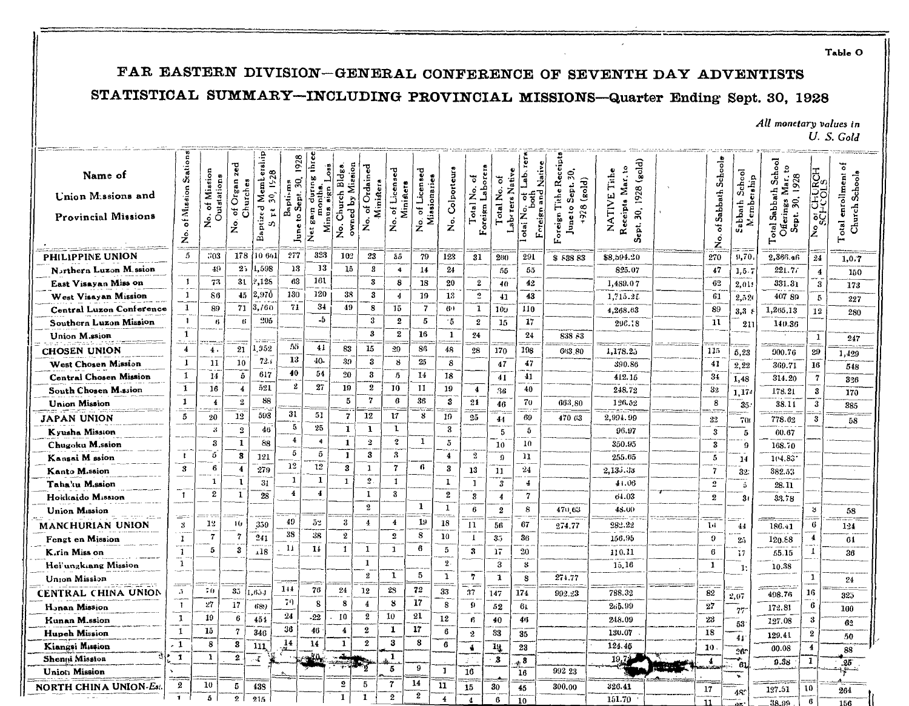Table O

### FAR EASTERN DIVISION-GENERAL CONFERENCE OF SEVENTH DAY ADVENTISTS

### STATISTICAL SUMMARY-INCLUDING PROVINCIAL MISSIONS-Quarter Ending Sept. 30, 1928

### All monetary values in U.S. Gold

| Name of<br>Union Missions and<br><b>Provincial Missions</b> | <b>Stations</b><br>of Mission<br>ż          | Mission<br>Outstations<br>ð<br>ż. | zed<br>Organ <sub>3</sub><br>Churches<br>p<br>ż | erslip<br>30, 1928<br>Mem <sub>b</sub><br>Baptized<br>$\tilde{\mu}$<br>S. | 1928<br>30.<br>Baptisms<br>June to Sept. | three<br>aung<br>ē<br>τ<br>gain<br>Minus<br>$\ddot{\tilde{z}}$ | owned by Mission<br>Church Bldgs<br>$\dot{z}$ | No. of Ordained<br>Ministera | of Licensed<br>Ministers<br>.<br>ح | Licensed<br>No. or<br>Missionaries | <b>Colporteurs</b><br>$\stackrel{\circ}{z}$ | Foreign Laborers<br>٦<br>Total No. | Laberers Native<br>ö<br>Total No. | Native<br>Áe.<br>Foreign and<br>혀<br>$\overline{\text{oa}}$ No. | Foreign Tithe Recei<br>Ŗ,<br>928 (gold)<br>Sept.<br>Juneto | (aold)<br>Receipts Mar. to<br>Tithe<br>1928<br>NATIVE<br>S,<br>Sept. | Sabbath Schools<br>ㅎ<br>$\stackrel{\rm o}{z}$ | School<br>etahip<br>Sabbath<br>فہ<br>a<br>≥ | School<br>9<br>Mar. 1<br>1928<br>Sabbath<br>Σ<br>30.<br>Offerings<br>Sept.<br>Total <sub>1</sub> | <b>OF CHURCH</b><br>ؙڲ  | ㅎ<br>Church Schools<br>enrollment<br>$_{\rm{otal}}$<br>Н |
|-------------------------------------------------------------|---------------------------------------------|-----------------------------------|-------------------------------------------------|---------------------------------------------------------------------------|------------------------------------------|----------------------------------------------------------------|-----------------------------------------------|------------------------------|------------------------------------|------------------------------------|---------------------------------------------|------------------------------------|-----------------------------------|-----------------------------------------------------------------|------------------------------------------------------------|----------------------------------------------------------------------|-----------------------------------------------|---------------------------------------------|--------------------------------------------------------------------------------------------------|-------------------------|----------------------------------------------------------|
| <b>PHILIPPINE UNION</b>                                     | 5                                           | 303                               | 178                                             | 10 661                                                                    | 277                                      | 323                                                            | 102                                           | 23                           | 85                                 | 79                                 | 123                                         | 31                                 | 260                               | 291                                                             | \$ 838 83                                                  | \$8,594.20                                                           | 270                                           | 9,70                                        | 2,366.46                                                                                         | 24                      | 1,0.7                                                    |
| Narthern Luzon M.ssion                                      |                                             | 49                                | 2:                                              | 1,598                                                                     | 13                                       | -13                                                            | 15                                            | 3                            | $\ddot{\bullet}$                   | 14                                 | 24                                          |                                    | 55                                | 55                                                              |                                                            | 825.07                                                               | 47                                            | 1, 5.                                       | 221.77                                                                                           | $\overline{\mathbf{4}}$ | 150                                                      |
| East Visayan Miss on                                        | -1                                          | 73                                | 31                                              | 2,128                                                                     | 63                                       | 161                                                            |                                               | 3                            | 8                                  | 18                                 | 20                                          | 2                                  | 40                                | 42                                                              |                                                            | 1,489.07                                                             | 62                                            | 2,01:                                       | 331.31                                                                                           | 3                       | 173                                                      |
| West Visayan Mission                                        | -1                                          | 86                                | $45 -$                                          | 2,970                                                                     | 130                                      | 120                                                            | 38                                            | 3                            | 4                                  | 19                                 | 18                                          | $\mathbf{S}$                       | 41                                | 43                                                              |                                                            | 1,715.25                                                             | 61                                            | 2,520                                       | 407 89                                                                                           | 5                       | 227                                                      |
| <b>Central Luzon Conference</b>                             | $\mathbf{1}$                                | 89                                | 71                                              | 3,760                                                                     | 71                                       | $3+$                                                           | 49                                            | 8                            | 15                                 | $\overline{7}$                     | 60                                          | 1                                  | 10y                               | 110                                                             |                                                            | 4,268.63                                                             | 89                                            | 3,3,4                                       | 1,265.13                                                                                         | 12                      | 280                                                      |
| Southern Luzon Mission                                      | -1                                          | 6                                 | 6                                               | 905                                                                       |                                          | -5                                                             |                                               | 3                            | 2                                  | 5                                  | 15                                          | $\bf{2}$                           | 15                                | 17                                                              |                                                            | 296.18                                                               | 11                                            | 211                                         | 140.36                                                                                           |                         |                                                          |
| Union M.ssion                                               | $\mathbf{1}$<br>$\sim$ $\sim$ $\sim$ $\sim$ |                                   |                                                 |                                                                           |                                          |                                                                |                                               | $\bf{3}$                     | $\boldsymbol{2}$                   | 16                                 | $\mathbf{1}$                                | 24                                 |                                   | 24                                                              | 838 83                                                     |                                                                      |                                               |                                             |                                                                                                  | $\mathbf{1}$            | 247                                                      |
| <b>CHOSEN UNION</b>                                         | $\overline{4}$                              | 4.                                | 21                                              | .952                                                                      | 55                                       | 41                                                             | 83                                            | 15                           | 29                                 | 86                                 | 48                                          | 28                                 | 170                               | 198                                                             | 663.80                                                     | 1,178.25                                                             | 115                                           | 5,23                                        | 900.76                                                                                           | 29                      | 1,429                                                    |
| West Chosen Mission                                         | -1                                          | 11                                | 10                                              | 72.5                                                                      | 13                                       | 40-                                                            | 39                                            | 3                            | -8                                 | 25                                 | 8                                           |                                    | 47                                | 47                                                              |                                                            | 390.86                                                               | 41                                            | 2,22                                        | 369.71                                                                                           | 16                      | 548                                                      |
| <b>Central Chosen Mission</b>                               | 1                                           | 14                                | 5                                               | 617                                                                       | 40                                       | 54                                                             | 20                                            | 3                            | 5                                  | 14                                 | 18                                          |                                    | 41                                | 41                                                              |                                                            | 412.15                                                               | 34                                            | 1,48                                        | 314.20                                                                                           | $\overline{7}$          | 326                                                      |
| South Chosen M.ssion                                        | -1                                          | 16                                | $\ddot{\bf{4}}$                                 | 521                                                                       | 2                                        | 27                                                             | 19                                            | 2                            | 10                                 | 11                                 | 19                                          | $\overline{4}$                     | 36                                | 40                                                              |                                                            | 248.72                                                               | 32                                            | 1.17                                        | 178.21                                                                                           | 3                       | 170                                                      |
| <b>Union Mission</b>                                        | $\mathbf{1}$                                | $\overline{4}$                    | $\mathbf{2}$                                    | 88                                                                        |                                          |                                                                | 5                                             | $\mathbf 7$                  | 6                                  | 36                                 | 3                                           | 21                                 | 46                                | 70                                                              | 663.80                                                     | 126.52                                                               | 8                                             | 35.                                         | 38.11                                                                                            | $\bf{3}$                | 385                                                      |
| JAPAN UNION                                                 | 5                                           | 20                                | 12                                              | 593                                                                       | 31                                       | 51                                                             | 7                                             | 12                           | 17                                 | 8                                  | 19                                          | 25                                 | 44                                | 69                                                              | 470 63                                                     | 2,994.99                                                             | 22                                            | 700                                         | 778.62                                                                                           | 3                       | 58                                                       |
| Kyusha Mission                                              |                                             | $\mathbf{3}$                      | $\overline{2}$                                  | 46                                                                        | 5                                        | 25                                                             | 1                                             | 1                            | $\mathbf{1}$                       |                                    | 3                                           |                                    | -5                                | 5                                                               |                                                            | 96.97                                                                | 3                                             | 5                                           | 60.67                                                                                            |                         |                                                          |
| Chugoku M.ssion                                             |                                             | 3                                 | 1                                               | 88                                                                        | $\overline{4}$                           | $\ddot{ }$                                                     | $\mathbf{1}$                                  | $\overline{2}$               | $\boldsymbol{2}$                   | $\mathbf{1}$                       | $\ddot{\text{o}}$                           |                                    | 10                                | 10                                                              |                                                            | 350.95                                                               | 3                                             | Ω                                           | 168.70                                                                                           |                         |                                                          |
| Kansai M ssion                                              | $\mathbf{r}$                                | 5                                 | 3                                               | 121                                                                       | 5                                        | $\tilde{\mathbf{D}}$                                           | $\mathbf{1}$                                  | 3                            | 3                                  |                                    | $\blacktriangleleft$                        | $\overline{2}$                     | 9                                 | $\mathbf{u}$                                                    |                                                            | 255.65                                                               | 5                                             | 14                                          | 1(4.83)                                                                                          |                         |                                                          |
| Kanto M.ssion                                               | 3                                           | 6                                 | $\overline{4}$                                  | 279                                                                       | 12                                       | 12                                                             | $\bf{3}$                                      | 1                            | $\overline{7}$                     | 6                                  | 3                                           | 13                                 | 11                                | $^{24}$                                                         |                                                            | 2,135.33                                                             | $\overline{7}$                                | 32:                                         | 382.53                                                                                           |                         |                                                          |
| Taha'u M.ssion                                              |                                             | -1                                | -1                                              | 31                                                                        | 1                                        | $\mathbf{1}$                                                   | $\mathbf{1}$                                  | $\mathbf{2}$                 | $\mathbf{1}$                       |                                    | $\mathbf{I}$                                | $\mathbf{1}$                       | 3                                 | 4                                                               |                                                            | 41.06                                                                | $\boldsymbol{\mathfrak{L}}$                   | -5                                          | 28.11                                                                                            |                         |                                                          |
| Hokkaido Mission                                            | $\mathbf{1}$                                | $\boldsymbol{2}$                  | 1                                               | 28                                                                        | $\overline{4}$                           | 4                                                              |                                               | 1                            | 3                                  |                                    | $\boldsymbol{2}$                            | 3                                  | $\boldsymbol{4}$                  | $\overline{\mathbf{7}}$                                         |                                                            | 04.03                                                                | $\mathbf{2}$                                  | 3 <sub>1</sub>                              | 33.78                                                                                            |                         |                                                          |
| <b>Union Mission</b>                                        | tana a                                      |                                   |                                                 |                                                                           |                                          |                                                                |                                               | $\mathbf{2}$                 |                                    | $\mathbf{1}$                       | 1                                           | 6                                  | $\boldsymbol{2}$                  | 8                                                               | 470.63                                                     | 48.00                                                                |                                               |                                             |                                                                                                  | ¥.                      | 58                                                       |
| <b>MANCHURIAN UNION</b>                                     | 3                                           | 12                                | 16                                              | 359                                                                       | 49                                       | 52                                                             | 3                                             | $\bf{1}$                     | $\overline{4}$                     | 19                                 | 18                                          | 11                                 | 56                                | 67                                                              | 274.77                                                     | 282.22                                                               | Ţн                                            | 44                                          | 186.41                                                                                           | 6                       | 124                                                      |
| Fengt en Mission                                            | 1                                           | $\overline{7}$                    | $\overline{7}$                                  | 241                                                                       | 38                                       | 38                                                             | $\mathbf{2}$                                  |                              | $\overline{2}$                     | 8                                  | 10                                          | $\mathbf{I}$                       | 35                                | 36                                                              |                                                            | 156.95                                                               | $\boldsymbol{9}$                              | 25                                          | 120.88                                                                                           | $\overline{4}$          | 61                                                       |
| K.rin Miss on                                               | $\mathbf{1}$                                | 5                                 | 3                                               | .18                                                                       | 11                                       | 14                                                             | $\mathbf{I}$                                  | 1                            | $\mathbf{1}$                       | 6                                  | 5                                           | 3                                  | 17                                | 20                                                              |                                                            | 110.11                                                               | 6                                             | 17                                          | 55.15                                                                                            | -1                      | 36                                                       |
| Hei'ungkiang Mission                                        | $\mathbf{I}$                                |                                   |                                                 |                                                                           |                                          |                                                                |                                               | $\mathbf{1}$                 |                                    |                                    | 2.                                          |                                    | 3                                 | 3                                                               |                                                            | 15,16                                                                | 1                                             | $\mathbf{1}$                                | 10.38                                                                                            |                         |                                                          |
| <b>Union Mission</b>                                        |                                             |                                   |                                                 |                                                                           |                                          |                                                                |                                               | 2                            | $\mathbf{1}$                       | 5                                  | $\mathbf{1}$                                | 7                                  | $\mathbf{1}$                      | 8                                                               | 274.77                                                     |                                                                      |                                               |                                             |                                                                                                  | -1                      | 24                                                       |
| CENTRAL CHINA UNION                                         | $-$<br>$\sqrt{2}$                           | 70                                | $35^{\circ}$                                    | .654                                                                      | 144                                      | 76                                                             | 24                                            | 12                           | 28                                 | 72                                 | 33                                          | --<br>37                           | 147                               | 174                                                             | 992.23                                                     | 788.32                                                               | 82                                            | t an<br>2,07                                | 498.76                                                                                           | 16                      | 325                                                      |
| H <sub>o</sub> nan Mission                                  | T.                                          | 27                                | 17                                              | 689                                                                       | -79                                      | 8                                                              | 8                                             | $\overline{4}$               | 8                                  | 17                                 | 8                                           | 9                                  | 52                                | 61                                                              |                                                            | 265.99                                                               | 27                                            | 77                                          | 172.81                                                                                           | 6                       | 100                                                      |
| <b>Hunan M.ssion</b>                                        | $\mathbf{I}$                                | 19                                | 6                                               | 451                                                                       | 24                                       | $-22$                                                          | 10                                            | 2                            | 10                                 | 21                                 | 12                                          | ß.                                 | 40                                | 46                                                              |                                                            | 248.09                                                               | 23                                            |                                             | 127.08                                                                                           | 3                       | 62                                                       |
| <b>Hupeh Mission</b>                                        | $\mathbf{1}$                                | 15                                | $\overline{7}$                                  | 346                                                                       | 36                                       | 46                                                             | $\overline{\mathbf{4}}$                       | $\boldsymbol{2}$             | 1                                  | 17                                 | 6                                           | $\mathbf{2}$                       | 33                                | 35                                                              |                                                            | 130.07                                                               | 18                                            | 53                                          | 129.41                                                                                           | $\boldsymbol{2}$        | 50                                                       |
| Kiangsi Masion                                              | . 1                                         | 8                                 | 3                                               | 111                                                                       | $\frac{14}{5}$                           | 14                                                             | $\mathbf{1}$                                  | $\boldsymbol{2}$             | 3                                  | 8                                  | 6                                           | $\blacktriangle$                   | 19                                | 23                                                              |                                                            | 124.45                                                               | 10                                            | 41                                          | 00.08                                                                                            | 4                       | 88                                                       |
| Shenni Mission                                              | $\mathbf{I}$                                | 1                                 | 2.                                              | $\sim$                                                                    |                                          |                                                                | طه                                            |                              | $\mathbf{1}$                       |                                    |                                             |                                    | - 3                               | ., 8                                                            |                                                            | 19.7                                                                 | 4                                             | 26.                                         | 9.38                                                                                             | 1                       | 25                                                       |
| <b>Union Mission</b>                                        |                                             |                                   |                                                 |                                                                           |                                          |                                                                |                                               |                              | 5                                  | 9                                  | $\mathbf{I}$                                | 16                                 |                                   | 16                                                              | 992 23                                                     |                                                                      |                                               | 61                                          |                                                                                                  |                         |                                                          |
| <b>NORTH CHINA UNION-Est</b>                                | $\boldsymbol{2}$                            | 10                                | 5                                               | 438                                                                       |                                          |                                                                | $\overline{2}$                                | 5                            | $\overline{7}$                     | 14                                 | 11                                          | 15                                 | 30                                | 45                                                              | 300.00                                                     | 326.41                                                               | 17                                            |                                             | 127.51                                                                                           | 10                      | 264                                                      |
|                                                             |                                             | 5                                 | $\mathbf{2}$                                    | 215                                                                       |                                          |                                                                | $\mathbf{1}$                                  | $\mathbf{1}$                 | $\mathbf{2}$                       | $\boldsymbol{2}$                   | $\overline{\mathbf{4}}$                     | 4                                  | 6                                 | 10                                                              |                                                            | 151.70                                                               | 11                                            | 48.                                         | 28.99                                                                                            | $\epsilon$              | 156                                                      |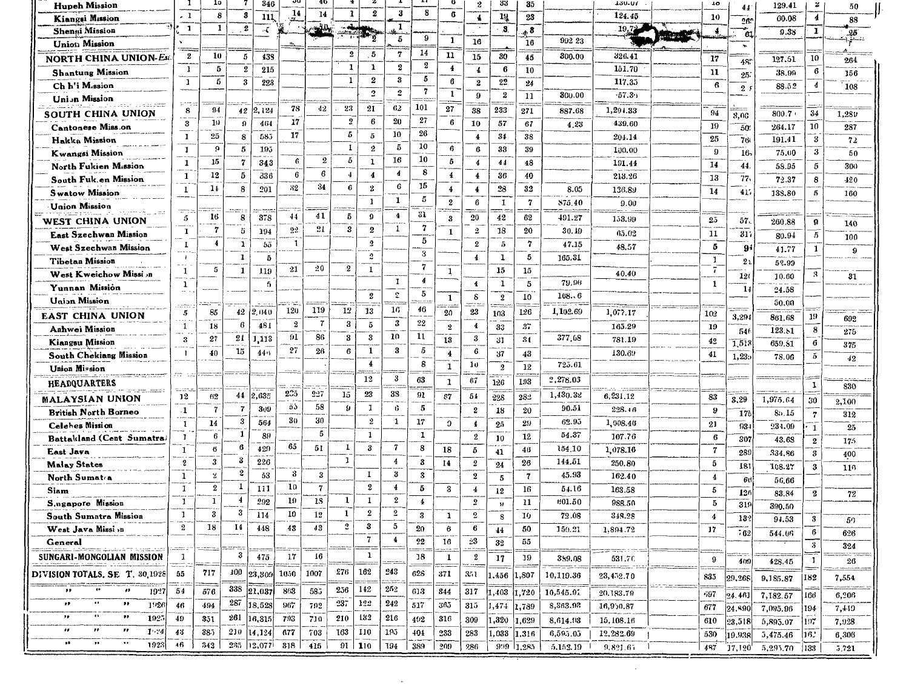| <b>Hupeh Mission</b>                                              |                           | 19               |                         | 346                   |                  | 40             |                         |                          |                         | 8                       |                  | $\boldsymbol{2}$                | 33                      | 35                        |                 | 120.01    | 10               | 44             | 129.41   | z                          | 50       |
|-------------------------------------------------------------------|---------------------------|------------------|-------------------------|-----------------------|------------------|----------------|-------------------------|--------------------------|-------------------------|-------------------------|------------------|---------------------------------|-------------------------|---------------------------|-----------------|-----------|------------------|----------------|----------|----------------------------|----------|
| Kiangsi Mission                                                   | . 1                       | 8                | 3                       | 111                   | 14               | 14             | $\mathbf{1}$            | $\boldsymbol{2}$         | 3                       |                         | 6                | $\blacktriangleleft$            | 14                      | 23                        |                 | 124.45    | 10               | 263            | 00.08    | $\overline{\mathbf{4}}$    | 88       |
| <b>Shenni Mission</b>                                             | $\mathbf{1}$              | 1                | $\overline{\mathbf{2}}$ | $\tilde{\mathcal{L}}$ |                  |                |                         | ŋ                        | 1                       | 9                       |                  |                                 | 3.                      | . 8                       |                 | 19,7      | $\boldsymbol{4}$ | 61             | 9.38     | $\mathbf 1$                | 25       |
| <b>Union</b> Mission                                              |                           |                  |                         |                       |                  |                |                         |                          | 5                       |                         | 1                | 16                              |                         | 16                        | 992 23          |           |                  | ٠              |          |                            | ۱ş       |
| NORTH CHINA UNION-Est                                             | $\boldsymbol{2}$          | 10               | 5                       | 433                   |                  |                | $\overline{\mathbf{2}}$ | $\overline{\phantom{a}}$ | $\overline{\mathbf{r}}$ | 14                      | 11               | 15                              | 30                      | 45                        | 300.00          | 326.41    | 17               | 48.            | 127.51   | 10                         | 264      |
| <b>Shantung Mission</b>                                           | -1                        | 5                | 2                       | 215                   |                  |                | $\mathbf{1}$            | 1                        | $\boldsymbol{2}$        | 2                       | $\overline{4}$   | $\overline{\mathbf{4}}$         | 6                       | 10                        |                 | 151.70    | 11               | 25             | 38.99    | 6                          | 156      |
| Ch h'i M.ssion                                                    | $\mathbf{1}$              | 5                | 3                       | 223                   |                  |                | $\mathbf{1}$            | $\pmb{2}$                | $\bf{3}$                | 5                       | 6                | $\mathbf 2$                     | $\bf 22$                | 24                        |                 | 117.35    | 6                | 2 <sup>i</sup> | 88.52    | 4                          | 108      |
| <b>Union Mission</b>                                              |                           |                  |                         |                       |                  |                |                         | $\overline{2}$           | $\boldsymbol{2}$        | $\mathbf{7}$            | 1                | 9                               | $\boldsymbol{2}$        | 11                        | 800.00          | 57.31     |                  |                |          |                            |          |
| SOUTH CHINA UNION                                                 | 8                         | 94               | 42                      | 2,124                 | 78               | 42             | 23                      | 21                       | 62                      | 101                     | 27               | 38                              | 233                     | 271                       | 887.68          | 1,294.33  | 94               |                | 800.7    | 34                         | 1,280    |
| Cantonese Miss.on                                                 | $\boldsymbol{\mathsf{3}}$ | 19               | 9                       | 464                   | 17               |                | $\overline{\mathbf{2}}$ | 6                        | 20                      | 27                      | 6                | 10                              | 57                      | 67                        | 4.23            | 439.60    | 19               | 3,00           | 264.17   | 10                         | 287      |
| Hakka Mission                                                     | $\overline{1}$            | 25               | 8                       | 585                   | 17               |                | 5                       | 5                        | 10                      | 26                      |                  | 4                               | 34                      | 38                        |                 | 204.14    | 25               | 50<br>76       | 191.41   | 3                          | 72       |
| Kwangsi Mission                                                   | $\bf{1}$                  | $\Omega$         | $5\phantom{.0}$         | 195                   |                  |                | 1                       | $\boldsymbol{2}$         | 5                       | 10                      | 6                | $6\phantom{.}6$                 | 33                      | 39                        |                 | 100.00    | 9                | 16.            | 75.00    | $\boldsymbol{3}$           | 50       |
| North Fukien Mission                                              | $\mathbf{1}$              | 15               | $\scriptstyle\rm 7$     | 343                   | 6                | $\overline{2}$ | 5                       | $\mathbf{1}$             | 16                      | 10                      | 5                | $\ddagger$                      | 44                      | 48                        |                 | 101.44    | 14               | 44             |          | 5                          | 300      |
|                                                                   | 1                         | 12               | 5                       | 336                   | 6                | 6              | 4                       | $\overline{4}$           | $\blacktriangleleft$    | 8                       | $\overline{4}$   | 4                               | 36                      | 40                        |                 | 213.26    | 13               | 77,            | 58.95    |                            |          |
| South Fuk.en Mission                                              | $\mathbf{I}$              | 14               | 8                       | 201                   | 32               | 34             | $\mathbf{6}$            | $\overline{2}$           | $\bf{6}$                | 15                      | $\overline{4}$   | $\overline{4}$                  | 28                      | 32                        | 8.05            | 136.8y    | 14               |                | 72.37    | 8                          | $-120$   |
| <b>Swatow Mission</b>                                             |                           |                  |                         |                       |                  |                |                         | -1                       | $\mathbf{I}$            | 5                       | $\boldsymbol{2}$ | 6                               | 1                       | $\boldsymbol{7}$          | \$75.40         | 9.00      |                  | 41'            | 133.80   | 5                          | 160      |
| <b>Union Mission</b>                                              |                           | 16               |                         |                       | 44               | 41             | -5                      | $\Omega$                 | $\ddagger$              | 31                      |                  |                                 |                         |                           |                 |           |                  |                |          |                            |          |
| WEST CHINA UNION                                                  | 5                         | 7                | 8                       | 378                   | 92               | 21             | 3                       | $\boldsymbol{2}$         | $\mathbf{1}$            | 7                       | 3                | 20                              | 42                      | 62                        | 491.27          | 153.99    | 25               | 57.            | 260.88   | ø                          | 140      |
| East Szechwan Mission                                             | $\mathbf{I}$              | $\overline{4}$   | 5                       | 194                   |                  |                |                         |                          |                         | 5                       | $\mathbf{1}$     | $\mathbf{2}$                    | 18                      | 20                        | 30.19           | 45.02     | 11               | 317            | 80.94    | 5                          | 100      |
| West Szechwan Mission                                             | 1                         |                  | $\mathbf 1$             | 55                    | $\mathbf{1}$     |                |                         | $\overline{2}$           |                         | 3                       |                  | $\bf{2}$                        | -5                      | $\overline{7}$            | 47.15           | 48.57     | 5                | 9              | 41.77    | 1                          | $\Omega$ |
| <b>Tibetan Mission</b>                                            | $\overline{1}$            |                  | 1                       | -5                    |                  |                | $\boldsymbol{2}$        | $\boldsymbol{v}$         |                         | $\overline{\mathbf{7}}$ |                  | $\overline{4}$                  | 1                       | 5                         | 165.31          |           | $\mathbf{1}$     | 2 <sub>2</sub> | 52.99    |                            |          |
| West Kweichow Missi on                                            | 1                         | 5                | $\mathbf{1}$            | 119                   | 21               | 20             |                         | $\mathbf{I}$             |                         | 4                       | 1                |                                 | 15                      | 15                        |                 | 40.40     | $\bar{ }$        | 120            | 10.60    | 3                          | 31       |
| Yunnan Mission                                                    | 1                         |                  |                         | $\sqrt{2}$            |                  |                |                         |                          | -1                      |                         |                  | $\blacktriangleleft$            | 1                       | 5                         | 79.96           |           | $\mathbf{1}$     | 14             | 24.58    |                            |          |
| <b>Union Mission</b>                                              |                           |                  |                         |                       |                  |                |                         | $\bf 2$                  | $\mathfrak L$           | 5                       | $\mathbf{1}$     | s                               | $\overline{2}$          | 10                        | 168.6           |           |                  |                | 50.00    |                            |          |
| EAST CHINA UNION                                                  | 5                         | 85               | 42                      | 2,040                 | 120              | 119            | 12                      | 13                       | 16                      | 46                      | 20               | 23                              | 103                     | 126                       | 1,102.69        | 1,077.17  | 102              | 3,294          | 861.68   | 19                         | 692      |
| Anhwei Mission                                                    | $\mathbf{1}$              | 18               | 6                       | 481                   | $\boldsymbol{2}$ | 7              | 3                       | 5                        | $\boldsymbol{3}$        | $^{22}$                 | $\overline{2}$   | $\blacktriangleleft$            | 33                      | 37                        |                 | 165.29    | 19               | 546            | 123.81   | ${\bf 8}$                  | 275      |
| Kiangsu Mission                                                   | 3                         | 27               | 21                      | 1,113                 | 91               | 86             | 3                       | 3                        | 10                      | 11                      | 13               | $\boldsymbol{3}$                | 31                      | 31                        | 377,08          | 781.19    | 42               | 1,51           | 659.S1   | 6                          | 375      |
| South Chekiang Mission                                            |                           | 40               | 15                      | 446                   | 27               | 26             | $\epsilon$              | 1                        | 3                       | 5                       | $\overline{4}$   | 6                               | 37                      | 43                        |                 | 130.69    | 41               | 1,23.          | 78.06    | $\tilde{q}$                | 42       |
| Union Mission                                                     |                           |                  |                         |                       |                  |                |                         | 4                        |                         | 8                       | 1                | 10                              | $\overline{\mathbf{2}}$ | 12                        | 725.61          |           |                  |                |          |                            |          |
| <b>HEADQUARTERS</b>                                               |                           |                  |                         |                       |                  |                |                         | 12                       | 3                       | 63                      | 1                | 67                              | 126                     | 193                       | 2,278.03        |           |                  |                |          | 1                          |          |
|                                                                   | 12                        | 62               | 44                      | 2,635                 | 235              | 2:7            | 15                      | ${\bf 23}$               | 38                      | 91                      | 57               | 54                              | 22S                     | 282                       | 1,430.32        | 6,231.12  | 83               |                |          |                            | 830      |
| <b>MALAYSIAN UNION</b>                                            | $\cdot$ 1                 | $\overline{7}$   | $\overline{7}$          | 309                   | őò               | 58             | $\boldsymbol{9}$        | 1                        | 6                       | 5                       |                  | $\boldsymbol{2}$                |                         | 20                        | 90.51           | 228.46    | 9                | 3,29           | 1,975.64 | 30                         | 2,100    |
| <b>British North Borneo</b>                                       |                           | 14               | 3                       | 564                   | 30               | 30             |                         | $\boldsymbol{2}$         | 1                       | 17                      | э                |                                 | 18                      | 29                        | 62.95           | 1,008.46  |                  | 17             | 85.15    | $\overline{7}$             | 312      |
| Celehes Mission                                                   | $\mathbf{1}$              | 6                | 1                       | 89                    |                  | 5              |                         | $\mathbf{1}$             |                         | $\mathbf{I}$            |                  | $\blacktriangleleft$<br>$\bf 2$ | 25                      | 12                        | 54.37           | 107.76    | 21               | 93-            | 234.09   | $\mathbf{1}$               | 25       |
| Battakland (Cent Sumatra)                                         | л                         | 6                | 6                       | 429                   | 65               | 51             | 1                       | 3                        | 7                       | 8                       |                  |                                 | 10                      |                           | 154.10          |           | $\,6\,$          | 307            | 43.63    | $\overline{\mathbf{2}}$    | 175      |
| East Java                                                         | $\mathbf{1}$              | 3                | 3                       | 226                   |                  |                | $\mathbf{1}$            |                          | 4                       | 3                       | 18               | 5                               | 41                      | 46                        | 144.51          | 1,078.16  | $\mathbf{7}$     | 289            | 334,86   | $\boldsymbol{3}$           | 400      |
| <b>Malay States</b>                                               | s<br>$\mathbf{1}$         | $\mathbf{z}$     | 2                       | 53                    | 3                | 3              |                         | 1                        | 3                       | 3                       | 14               | $\overline{2}$<br>$\mathbf{2}$  | 24                      | 26                        | 45.93           | 250.80    | 5                | 181            | 108.27   | $\boldsymbol{\mathcal{S}}$ | 116      |
| North Sumat <sub>a</sub>                                          | $\mathbf{1}$              | $\boldsymbol{2}$ | 1                       | 111                   | 10               | -7             |                         | $\pmb{2}$                | $\overline{\mathbf{4}}$ | 5                       |                  |                                 | 5                       | $\overline{\mathfrak{c}}$ |                 | 162.40    | $\overline{4}$   | 60             | 56,66    |                            |          |
| <b>Siam</b>                                                       | $\mathbf{1}$              | 1                | $\overline{4}$          | 292                   | 19               | 13             | 1                       | 1                        | $\boldsymbol{2}$        | 4                       | 3                | $\ddotmark$<br>$\overline{2}$   | 12                      | 16<br>11                  | 54.16<br>601.50 | 163.58    | 5                | 126            | 83,84    | $\overline{2}$             | $\bf 72$ |
| S, agapore Mission                                                | 1                         | $\bf{3}$         | 3                       | 114                   | 10               | 12             | $\mathbf{1}$            | $\boldsymbol{2}$         | $\overline{\mathbf{2}}$ |                         |                  | $\overline{2}$                  | IJ                      |                           |                 | 988.50    | $\bf 5$          | 319            | 390.50   |                            |          |
| <b>South Sumatra Mission</b>                                      | $\,2\,$                   | 18               | 14                      |                       |                  | 43             | $\mathbf 2$             | 3                        | 5                       | 3                       | 1                |                                 | 8                       | 10                        | 72.08           | 348.28    | 4                | 132            | 94.53    | 3                          | 50       |
| West Java Missi in                                                |                           |                  |                         | 448                   | 43               |                |                         | 7                        | $\ddagger$              | 20                      | 6                | 6<br>23                         | $^{44}$                 | 50                        | 150.21          | 1,894.72  | 17               | 762            | 544.06   | 6                          | 626      |
| General                                                           |                           |                  |                         |                       |                  |                |                         |                          |                         | 22                      | 16               |                                 | 32                      | 55                        |                 |           |                  |                |          | $\overline{\mathbf{3}}$    | 324      |
| SUNGARI-MONGOLIAN MISSION                                         | -1                        |                  | 3                       | 475                   | 17               | 16             |                         | 1                        |                         | 18                      | 1                | $\,2\,$                         | 17                      | 19                        | 359.08          | 531.70    | 9                | 409            | 428.45   | $\mathbf{1}$               | 26       |
| DIVISION TOTALS, SE T. 30,1928                                    | 55                        | 717              | -100                    | 23,309                | 1050             | 1007           | 276                     | 162                      | 243                     | 628                     | 371              | 3.71                            | ,456                    | ,807                      | 10,119.36       | 23,452.70 | 835              | 29,268         | 9,185.87 | 182                        | 7,554    |
| ,,<br>$\pmb{\cdot}$<br>1027                                       | 54                        | 576              | 338                     | 21,037                | 863              | 585            | 256                     | 142                      | 252                     | 613                     | 844              | 317                             | .403                    | 1,720                     | 10,545.91       |           |                  |                |          |                            |          |
| ,,<br>$\bullet\bullet$<br>1920                                    | 46                        | 494              | 287                     | 18,528                | 967              | 792            | 237                     | 122                      | 242                     | 517                     | 365              | 315                             |                         |                           | 8,863.92        | 20,183.79 | -597             | 24.461         | 7,182.57 | 166                        | 6,206    |
| ,,<br>$\ddot{\phantom{a}}$<br>$\pmb{\cdot}$<br>192                | 49                        |                  | 261                     |                       |                  | 710            | 210                     | 132                      | 216                     |                         |                  |                                 | ,474                    | 1.789                     |                 | 16,950.87 | 677              | 24,890         | 7,095.96 | 194                        | 7,449    |
| n<br>$\pmb{\cdot}$<br>,,                                          |                           | 351              |                         | 16,315                | 793              |                |                         |                          |                         | 492                     | 316              | 309                             | ,320                    | 1,629                     | 8,614.98        | 15,108.16 | 610              | 23,518         | 5,895.07 | 197                        | 7,928    |
| $1 - 4$<br>$\bullet\bullet$<br>,,<br>$\ddot{\phantom{0}}$<br>1928 | 43<br>46                  | 385              | 210                     | 14.124                | 677              | 703            | 163                     | 110                      | 195                     | 404                     | 233              | 283                             | 1,033                   | 1,316                     | 6,595.05        | 12,282.69 | 530              | 19,935         | 5,475.46 | 16.                        | 6,306    |
|                                                                   |                           | 342              | 285                     | 12,077                | 318              | 415            | 91                      | 110                      | 194                     | 389                     | 209              | 286                             | 9:10                    | 1,285                     | 5.152.19        | 9,821.67  | 487              | 17,120         | 5,295.70 | 133                        | 5.721    |
|                                                                   |                           |                  |                         |                       |                  |                |                         |                          |                         |                         |                  |                                 |                         |                           |                 |           |                  |                |          |                            |          |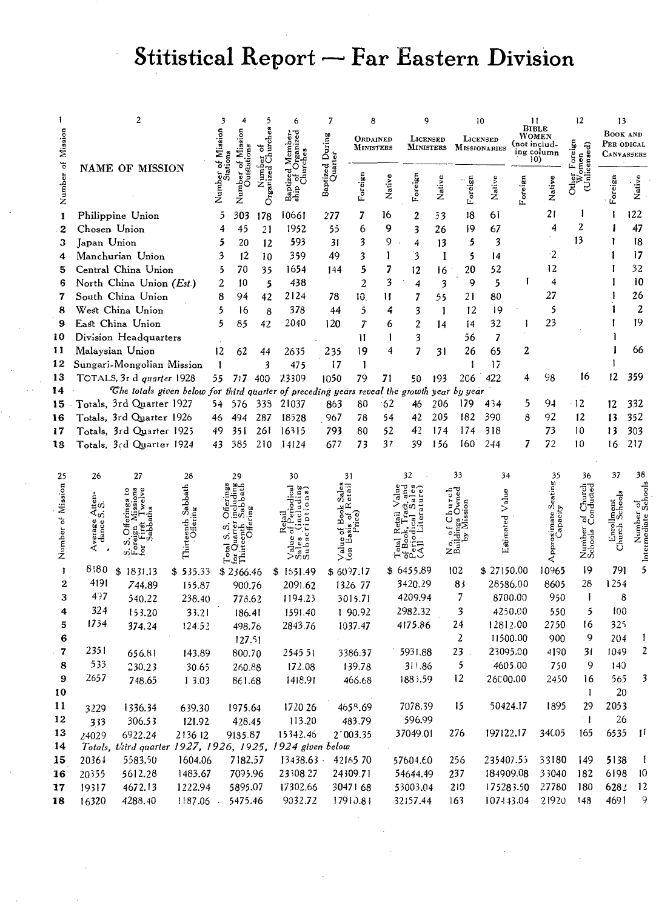# Stitistical Report - Far Eastern Division

|                   |              | 2                                                                                          |                      |        |                     |          |                      | 7                          |                     |        |                  |        |                | 10                  |           | п                          | 12              | 13                              |                |
|-------------------|--------------|--------------------------------------------------------------------------------------------|----------------------|--------|---------------------|----------|----------------------|----------------------------|---------------------|--------|------------------|--------|----------------|---------------------|-----------|----------------------------|-----------------|---------------------------------|----------------|
|                   |              |                                                                                            |                      |        |                     |          |                      |                            | ORDAINED            |        | LICENSED         |        |                | LICENSED            |           | <b>BIBLE</b><br>WOMEN      |                 | BOOK AND                        |                |
| Mission           |              |                                                                                            |                      | Missi  | Missi               |          |                      |                            | <b>MINISTERS</b>    |        | <b>MINISTERS</b> |        |                | <b>MISSIONARIES</b> |           | (not includ-<br>ing column | oreign<br>୫     | Per odical<br><b>CANVASSERS</b> |                |
|                   |              | <b>NAME OF MISSION</b>                                                                     |                      |        |                     |          |                      |                            |                     |        |                  |        |                |                     |           | 10)                        |                 |                                 |                |
| Number of         |              |                                                                                            |                      |        | Number of           |          |                      | Baptized During<br>Quarter |                     |        |                  |        |                |                     |           |                            |                 |                                 |                |
|                   |              |                                                                                            |                      | Number |                     | Organize |                      |                            | Foreign             | Native | Foreign          | Native | Foreign        | Native              | Foreign   | Native                     | కే              | Foreign                         | Native         |
|                   |              |                                                                                            |                      |        |                     |          |                      |                            |                     |        |                  |        |                |                     |           |                            |                 |                                 |                |
| 1                 |              | Philippine Union                                                                           |                      | 5      | 303                 | 178      | 10661                | 277                        | 7                   | 16     | $\overline{2}$   | 33     | 18             | 61                  |           | 21                         |                 |                                 | 122            |
| $\boldsymbol{2}$  | Chosen Union |                                                                                            |                      | 4      | 45                  | 21       | 1952                 | 55                         | 6                   | 9      | 3                | 26     | 19             | 67                  |           | 4                          | 2               |                                 | 47             |
| з                 | Japan Union  |                                                                                            |                      | 5      | 20                  | 12       | 593                  | 31                         | 3                   | 9      | 4                | 13     | 5              | 3                   |           |                            | 13              |                                 | 18             |
| 4                 |              | Manchurian Union                                                                           |                      | 3      | 12                  | 10       | 359                  | 49                         | 3                   | 1      | 3                | I      | 5              | 14                  |           | $\cdot$ 2                  |                 |                                 | 17             |
| 5                 |              | Central China Union                                                                        |                      | 5      | 70                  | 35       | 1654                 | 144                        | 5                   | 7      | 12               | 16     | 20             | 52                  |           | 12                         |                 |                                 | 32             |
| 6                 |              | North China Union (Est.)                                                                   |                      | 2      | 10                  | 5        | 438                  |                            | $\overline{2}$      | 3      | 4                | 3      | 9              | 5                   |           | 4                          |                 |                                 | 10             |
| 7                 |              | South China Union                                                                          |                      | 8      | 94                  | 42       | 2124                 | 78                         | 10.                 | 11     | 7                | 55     | 21             | 80                  |           | 27                         |                 |                                 | 26             |
| 8                 |              | West China Union                                                                           |                      | 5      | 16                  | 8        | 378                  | 44                         | 5                   | 4      | 3                | 1      | 12             | 19                  |           | 5                          |                 |                                 | $\overline{z}$ |
| 9                 |              | East China Union                                                                           |                      | 5      | 85                  | 42       | 2040                 | 120                        | 7                   | 6      | $\mathbf{2}$     | 14     | 14             | 32                  |           | 23                         |                 |                                 | 19             |
| 10                |              | Division Headquarters                                                                      |                      |        |                     |          |                      |                            | 11                  | I      | 3                |        | 56             | 7                   |           |                            |                 |                                 |                |
| 11                |              | Malaysian Union                                                                            |                      | 12     | 62                  | 44       | 2635                 | 235                        | 19                  | 4      | 7                | 31     | 26             | 65                  | 2         |                            |                 |                                 | 66             |
| 12                |              | Sungari-Mongolian Mission                                                                  |                      | 1      |                     | 3        | 475                  | 17                         | 1                   |        |                  |        | 1              | 17                  |           |                            |                 |                                 |                |
| 13                |              | TOTALS, 3r d quarter 1928                                                                  |                      | 55.    | 717 400             |          | 23309                | 1050                       | 79                  | 71     | 50               | 193    | 206            | 422                 | 4         | 98                         | 16              | 12                              | 359            |
| 14                |              | The totals given below for third quarter of preceding years reveal the growth year by year |                      |        |                     |          |                      |                            |                     |        |                  |        |                |                     |           |                            |                 |                                 |                |
| 15                |              | Totals, 3rd Quarter 1927                                                                   |                      | 54     | 576                 | 333      | 21037                | 863                        | 80                  | 62     | 46               | 206    | 179            | 434                 | 5         | 94                         | 12              | 12                              | 332            |
| 16                |              | Totals, 3rd Quarter 1926                                                                   |                      | 46     | 494                 | 287      | 18528                | 967                        | 78                  | 54     | 42               | 205    | 182            | 390                 | 8         | 92                         | 12              | 13                              | 352            |
| 17                |              | Totals, 3rd Quarter 1925                                                                   |                      | 49     | 351                 | 261      | 16315                | 793                        | 80                  | 52     | 42               | 174    | 174            | 318                 |           | 73                         | 10              | 13                              | 303            |
| 18                |              | Totals, 3rd Quarter 1924                                                                   |                      | 43     | 385                 | 210      | 14124                | 677                        | 73                  | 37     | 39               | 156    | 160            | 244                 | 7         | 72                         | 10              | 16                              | 217            |
|                   |              |                                                                                            |                      |        |                     |          |                      |                            |                     |        |                  |        |                |                     |           |                            |                 |                                 |                |
| 25                | 26           | 27                                                                                         | 28                   |        | 29                  |          | 30                   |                            | 31                  |        | 32               |        | 33             | 34                  |           | 35                         | 36              | 37                              | 38             |
|                   |              |                                                                                            |                      |        |                     |          |                      |                            |                     |        |                  |        |                |                     |           |                            |                 |                                 |                |
|                   |              |                                                                                            | Sabbath              |        |                     |          |                      |                            |                     |        |                  |        |                | Value               |           | Seating                    |                 |                                 |                |
|                   | 4້ອາ<br><ັດ  |                                                                                            |                      |        |                     |          |                      |                            |                     |        |                  |        |                |                     |           |                            |                 |                                 |                |
| Number of Mission |              | ँ                                                                                          | Thirteenti<br>Oficin |        |                     |          |                      |                            |                     |        |                  |        |                | Estimated           |           |                            |                 |                                 |                |
|                   |              |                                                                                            |                      |        |                     |          |                      |                            |                     |        |                  |        |                |                     |           |                            |                 | Enrel<br>Church                 |                |
|                   |              |                                                                                            |                      |        |                     |          |                      | $\sqrt{a}$                 |                     |        | Ŝ                |        | o'ii<br>Zm     |                     |           |                            | Numbe<br>School |                                 |                |
| T                 | 8180         | \$1831.13                                                                                  |                      |        |                     |          |                      |                            | \$6097.17           |        | \$6455.89        |        | 102            | \$27150.00          |           | 10965                      | 19              | 791                             |                |
| $\mathbf{2}$      | 4191         | 744.89                                                                                     | \$535.33<br>155.87   |        | \$2366.46<br>900.76 |          | \$1551.49<br>2091.62 |                            | 1326 77             |        | 3420.29          |        | 83             |                     | 28586.00  | 8605                       | 28              | 1254                            |                |
| 3                 | 497          | 540.22                                                                                     |                      |        |                     |          | 1194.23              |                            |                     |        | 4209.94          |        | 7              |                     | 8700.00   | 950                        | $\mathbf{I}$    | 8                               |                |
| 4                 | 324          |                                                                                            | 238.40               |        | 778.62              |          |                      |                            | 3015.71             |        | 2982.32          |        | 3              |                     | 4250.00   | 550                        | 5               | 100                             |                |
| 5                 | 1734         | 153.20                                                                                     | 33.21                |        | 186.41              |          | 1591.40              |                            | 1 90.92             |        | 4175.86          |        | 24             |                     | 12812.00  | 2750                       | 16              | 325                             |                |
|                   |              | 374.24                                                                                     | 124.52               |        | 498.76              |          | 2843.76              |                            | 1037.47             |        |                  |        | $\overline{z}$ |                     | 11500.00  | 900                        | 9               | 204                             | 1              |
| 6<br>7            | 2351         |                                                                                            |                      |        | 127.51              |          |                      |                            |                     |        |                  |        | 23             |                     |           |                            |                 |                                 | 2              |
|                   | 533          | 656.81                                                                                     | 143.89               |        | 800.70              |          | 2545 51              |                            | 3386.37             |        | 5931.88          |        | 5              |                     | 23095.00  | 4190                       | 31<br>9         | 1049                            |                |
| 8<br>9            | 2657         | 230.23                                                                                     | 30.65                |        | 260.88              |          | 172.08               |                            | 139.78              |        | 311.86           |        | 12             |                     | 4605.00   | 750                        |                 | 140                             |                |
|                   |              | 748.65                                                                                     | 1 3.03               |        | 861.68              |          | 1418.91              |                            | 466.68              |        | 188, 59          |        |                | 26000.00            |           | 2450                       | 16              | 565                             |                |
| 10                |              |                                                                                            |                      |        |                     |          |                      |                            |                     |        |                  |        |                |                     |           |                            | $\mathbf{I}$    | 20                              |                |
| 11                | 3229         | 1336.34                                                                                    | 639.30               |        | 1975.64             |          | 1720 26              |                            | 4658.69             |        | 7078.39          |        | 15             |                     | 50424.17  | 1895                       | 29              | 2053                            |                |
| 12                | 333          | 306.53                                                                                     | 121.92               |        | 428.45              |          | 113.20               |                            | 483.79              |        | 596.99           |        |                |                     |           |                            | $^{\circ}1$     | 26                              |                |
| 13                | 24029        | 6922.24                                                                                    | 213612               |        | 9185.87             |          | 15342.46             |                            | $2^{\degree}003.35$ |        | 37049.01         |        | 276            | 197122.17           |           | 34005                      | 165             | 6535                            | - 11           |
| 14                |              | Totals, third quarter 1927, 1926, 1925, 1924 given below                                   |                      |        |                     |          |                      |                            |                     |        |                  |        |                |                     |           |                            |                 |                                 |                |
| 15                | 20361        | 5583.50                                                                                    | 1604.06              |        | 7182.57             |          | 13438.63             |                            | 4216570             |        | 57604.60         |        | 256            | 235407.55           |           | 33180                      | 149             | 5138                            | $\mathbf{1}$   |
| 16                | 20355        | 5612.28                                                                                    | 1483.67              |        | 7095.96             |          | 23308.27             |                            | 24309.71            |        | 54644.49         |        | 237            | 184909.08           |           | 33040                      | 182             | 6198                            | 10             |
| 17                | 19317        | 4672.13                                                                                    | 1222.94              |        | 5895.07             |          | 17302.66             |                            | 3047168             |        | 53003.04         |        | 210            |                     | 175283.50 | 27780                      | 180             | 6282                            | 12             |
| 18                | 16320        | 4288.40                                                                                    | 1187.06              |        | 5475.46             |          | 9032.72              |                            | 17910.81            |        | 32.57.44         |        | 163            |                     | 107443.04 | 21920                      | 148             | 4691                            | 9              |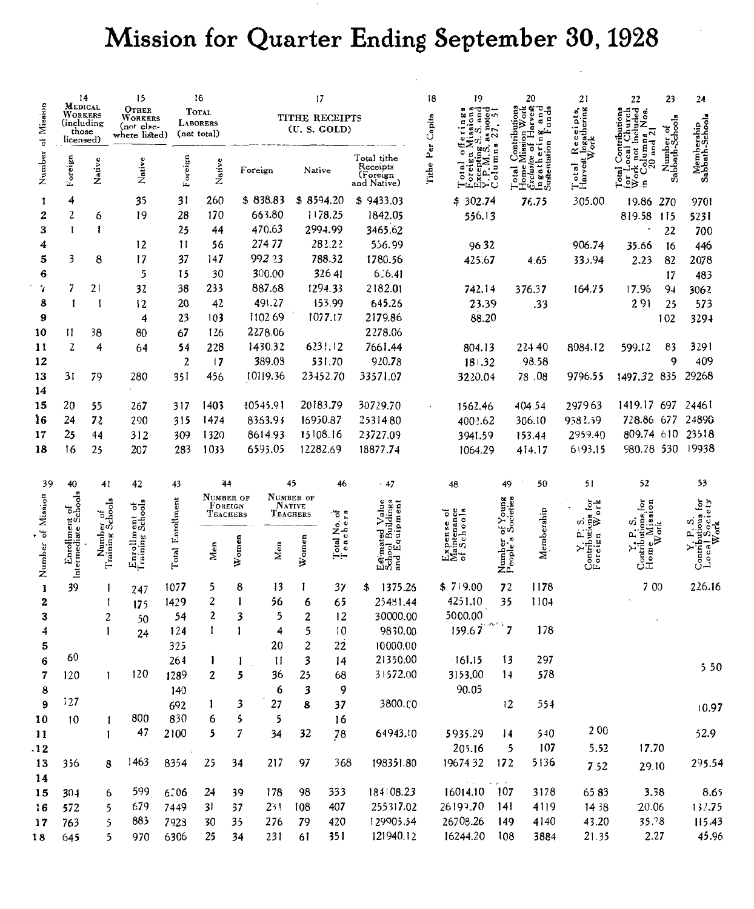# Mission for Quarter Ending September 30, 1928

|                      | 14<br>${\bf M}$ edical                      |                               | 15                                                     |                  | 16                                             |          |          |                                  | 17                             |                                                      | 18        | 19                                                                                |                    | 20                                                   | 21                                   | 22                                                        | 23                           | 24                            |
|----------------------|---------------------------------------------|-------------------------------|--------------------------------------------------------|------------------|------------------------------------------------|----------|----------|----------------------------------|--------------------------------|------------------------------------------------------|-----------|-----------------------------------------------------------------------------------|--------------------|------------------------------------------------------|--------------------------------------|-----------------------------------------------------------|------------------------------|-------------------------------|
| Mission<br>$\vec{c}$ | WORKERS<br>(including<br>those<br>licensed) |                               | OTHER<br><b>WORKERS</b><br>(not else-<br>where listed) |                  | <b>TOTAL</b><br><b>LABORERS</b><br>(net total) |          |          |                                  | TITHE RECEIPTS<br>(U. S. GOLD) |                                                      | Capita    | œ<br>note<br>œ<br>ã                                                               | ontributi          | ork<br>ces<br>Harver<br>п<br>$\frac{g}{\tan \alpha}$ | Receipts,<br>t_Ingathering '<br>Work |                                                           |                              |                               |
| Number               | Foreign                                     | Native                        | Native                                                 | Foreign          | Native                                         |          | Foreign  | Native                           |                                | Total tithe<br>Receipts<br>(Foreign<br>and Native)   | Tithe Per | Excepting S<br>Y.P.M.S. <sub>a</sub><br>Columna<br>oreigi<br>Xeepin<br>P. N.<br>ō | $_{\rm{total}}$    | ۰<br>clusive<br>gatl<br>Ingatl<br>Sustent<br>lome    | Total<br>Harvest<br>$\vec{a}$        | $20$ and $21$<br>Leocal<br>$\mathbb{R}^{\infty}_{\infty}$ | Number of<br>Sabbath-Schools | Membership<br>Sabbath-Schoole |
| 1                    | 4                                           |                               | 35                                                     | 31               | 260                                            |          | \$838.83 |                                  | \$8594.20                      | \$9433.03                                            |           | \$302.74                                                                          |                    | 76.75                                                | 305.00                               | 19.86                                                     | 270                          | 9701                          |
| 2                    | 2                                           | 6                             | 19                                                     | 28               | 170                                            |          | 663.80   |                                  | 1178.25                        | 1842.05                                              |           | 556.13                                                                            |                    |                                                      |                                      | 819.58                                                    | -115                         | 5231                          |
| 3                    | $\mathbf{I}$                                | 1                             |                                                        | 25               | 44                                             |          | 470.63   |                                  | 2994.99                        | 3465.62                                              |           |                                                                                   |                    |                                                      |                                      |                                                           | 22                           | 700                           |
| 4                    |                                             |                               | 12                                                     | П                | 56                                             |          | 27477    |                                  | 282.22                         | 556.99                                               |           | 9632                                                                              |                    |                                                      | 906.74                               | 35.66                                                     | 16                           | 446                           |
| 5                    | 3                                           | 8                             | 17                                                     | 37               | 147                                            |          | 992 23   |                                  | 788.32                         | 1780.56                                              |           | 425.67                                                                            |                    | 4.65                                                 | 335.94                               | 2.23                                                      | 82                           | 2078                          |
| 6                    |                                             |                               | 5                                                      | 15               | 30                                             |          | 300.00   |                                  | 32641                          | 6.6.41                                               |           |                                                                                   |                    |                                                      |                                      |                                                           | 17                           | 483                           |
| 'I                   | 7                                           | 21                            | 32                                                     | 38               | 233                                            |          | 887.68   |                                  | 1294.33                        | 2182.01                                              |           | 742.14                                                                            |                    | 376.37                                               | 164.75                               | 17.95                                                     | 94                           | 3062                          |
| 8                    | 1                                           | 1                             | 12                                                     | 20               | 42                                             |          | 491.27   |                                  | 153.99                         | 645.26                                               |           | 23.39                                                                             |                    | .33                                                  |                                      | 291                                                       | 25                           | 573                           |
| 9                    |                                             |                               | 4                                                      | 23               | 103                                            |          | 110269   |                                  | 1077.17                        | 2179.86                                              |           | 88.20                                                                             |                    |                                                      |                                      |                                                           | 102                          | 3294                          |
| 10                   | Н                                           | 38                            | 80                                                     | 67               | 126                                            |          | 2278.06  |                                  |                                | 2278.06                                              |           |                                                                                   |                    |                                                      |                                      |                                                           |                              |                               |
| 11                   | $\overline{\mathbf{c}}$                     | 4                             | 64                                                     | 54               | 228                                            |          | 1430.32  |                                  | 6231.12                        | 7661.44                                              |           | 804.13                                                                            |                    | 22440                                                | 8084.12                              | 599.12                                                    | 83                           | 3291                          |
| 12                   |                                             |                               |                                                        | $\mathbf{2}$     | 17                                             |          | 389.08   |                                  | 531.70                         | 920.78                                               |           | 181.32                                                                            |                    | 98.58                                                |                                      |                                                           | 9                            | 409                           |
| 13                   | 31                                          | 79                            | 280                                                    | 35 I             | 456                                            |          | 10119.36 |                                  | 23452.70                       | 33571.07                                             |           | 3220.04                                                                           |                    | 78.08                                                | 9796.55                              | 1497.32 835                                               |                              | 29268                         |
| 14                   |                                             |                               |                                                        |                  |                                                |          |          |                                  |                                |                                                      |           |                                                                                   |                    |                                                      |                                      |                                                           |                              |                               |
| 15                   | 20                                          | 55                            | 267                                                    | 317              | 1403                                           |          | 10545.91 |                                  | 20183.79                       | 30729.70                                             |           | 1562.46                                                                           |                    | 404.54                                               | 297963                               | 1419.17 697                                               |                              | 24461                         |
| 16                   | 24                                          | 72                            | 290                                                    | 315              | 1474                                           |          | 8353.95  |                                  | 16950.87                       | 2531480                                              |           | 4003.62                                                                           |                    | 306.10                                               | 9582.59                              | 728.86 677 24890                                          |                              |                               |
| 17                   | 25                                          | 44                            | 312                                                    | 309              | 1320                                           |          | 8614.93  |                                  | 15108.16                       | 23727.09                                             |           | 3941.59                                                                           |                    | 153.44                                               | 2959.40                              | 809.74 610 23518                                          |                              |                               |
| 18                   | 16                                          | 25                            | 207                                                    | 283              | 1033                                           |          | 6595.05  |                                  | 12282.69                       | 18877.74                                             |           | 1064.29                                                                           |                    | 414.17                                               | 6193.15                              | 980.28 530 19938                                          |                              |                               |
| 39                   | 40                                          | 41                            | 42                                                     | 43               | 44                                             |          |          | 45                               | 46                             | .47                                                  |           | 48                                                                                | 49                 | 50                                                   | 51                                   | 52                                                        |                              | 53                            |
|                      |                                             |                               |                                                        |                  | NUMBER OF                                      |          |          | NUMBER OF                        |                                |                                                      |           |                                                                                   | gan<br>Stan        |                                                      |                                      |                                                           |                              |                               |
|                      |                                             |                               |                                                        |                  | FOREIGN                                        | TEACHERS |          | <b>NATIVE</b><br><b>TEACHERS</b> |                                |                                                      |           | ०                                                                                 | $\frac{1}{2}$      |                                                      | أق<br>ork                            | ĕ<br>S                                                    |                              | utions for<br>Society         |
|                      |                                             |                               |                                                        |                  |                                                |          |          |                                  |                                |                                                      |           |                                                                                   | م<br>5             |                                                      | ξ₿<br>m                              |                                                           |                              | Work                          |
| Number of Mission    | Enrollment of<br>Intermediate Schools       | Number of<br>Training Schools | Enrollment of<br>Training Schools                      | Total Enrollment | Men                                            | Women    | Men      | Women                            | Total No. of<br>Teachers       | Estimated Value<br>School Buildings<br>and Equipment |           | laintenance<br>f Schools                                                          | Number<br>People's | Membership                                           | Contribun.<br>Foreign                | v<br>Vota<br>¤                                            |                              |                               |
|                      |                                             |                               |                                                        |                  |                                                |          |          |                                  |                                |                                                      |           | చి≳ిర                                                                             |                    |                                                      |                                      | a<br>1<br>Ē<br>ェ                                          |                              | Loca<br>Contru                |
|                      |                                             |                               |                                                        |                  |                                                |          |          |                                  |                                |                                                      |           |                                                                                   |                    |                                                      |                                      |                                                           |                              |                               |
| 1                    | 39                                          | 1                             | 247                                                    | 1077             | 5                                              | 8        | 13       | 1                                | 37                             | 1375.26<br>\$.                                       |           | \$719.00                                                                          | 72                 | 1178                                                 |                                      | 700                                                       |                              | 226.16                        |
| 2                    |                                             | 1                             | 175                                                    | 1429             | 2                                              | 1        | 56       | 6                                | 65                             | 25481.44                                             |           | 4251.10                                                                           | 35                 | 1104                                                 |                                      |                                                           |                              |                               |
| 3                    |                                             | $\overline{c}$                | 50                                                     | 54               | 2                                              | 3        | 5        | 2                                | 12                             | 30000.00                                             |           | 5000.00                                                                           | 7                  |                                                      |                                      |                                                           |                              |                               |
| 4                    |                                             | 1                             | 24                                                     | 124              | 1                                              | 1        | 4        | 5                                | 10                             | 9830.00                                              |           | 159.67                                                                            |                    | 178                                                  |                                      |                                                           |                              |                               |
| 5                    | 60                                          |                               |                                                        | 325              |                                                |          | 20       | 2<br>3                           | 22                             | 10000.00<br>21350.00                                 |           |                                                                                   | 13                 | 297                                                  |                                      |                                                           |                              |                               |
| 6<br>7               | 120                                         |                               | 120                                                    | 264<br>1289      | L<br>$\overline{a}$                            | 1<br>5   | 11<br>36 | 25                               | 14<br>68                       | 31572.00                                             |           | $-161.15$<br>3153.00                                                              | 14                 | 578                                                  |                                      |                                                           |                              | 5 5 0                         |
| 8                    |                                             | $\mathbf{1}$                  |                                                        | 140              |                                                |          | 6        | 3                                | 9                              |                                                      |           | 90.05                                                                             |                    |                                                      |                                      |                                                           |                              |                               |
| 9                    | 12.7                                        |                               |                                                        |                  |                                                |          | 27       | 8                                | 37                             | 3800.00                                              |           |                                                                                   | 12                 | 554                                                  |                                      |                                                           |                              |                               |
| 10                   |                                             |                               | 800                                                    | 692<br>830       | L<br>6                                         | 3<br>5   | 5        |                                  | 16                             |                                                      |           |                                                                                   |                    |                                                      |                                      |                                                           |                              | 10.97                         |
| 11                   | 10                                          | 1<br>$\mathbf{1}$             | 47                                                     | 2100             | 5                                              | 7        | 34       | 32                               | 78                             | 64943.10                                             |           | 5935.29                                                                           | 14                 | 540                                                  | 200                                  |                                                           |                              | 52.9                          |
| .12                  |                                             |                               |                                                        |                  |                                                |          |          |                                  |                                |                                                      |           | 205.16                                                                            | 5                  | 107                                                  | 5.52                                 | 17.70                                                     |                              |                               |
| 13                   | 356                                         | 8                             | 1463                                                   | 8354             | 25                                             | 34       | 217      | 97                               | 368                            | 198351.80                                            |           | 1967432                                                                           | - 172              | 5136                                                 |                                      |                                                           |                              | 295.54                        |
| 14                   |                                             |                               |                                                        |                  |                                                |          |          |                                  |                                |                                                      |           |                                                                                   |                    |                                                      | 7.52                                 | 29.10                                                     |                              |                               |
| 15                   | 304                                         | 6                             | 599                                                    | 6206             | 24                                             | 39       | 178      | 98                               | 333                            | 184108.23                                            |           | 16014.10 107                                                                      |                    | 3178                                                 | 6583                                 | 3.38                                                      |                              | 8.65                          |
| 16                   | 572                                         | 5                             | 679                                                    | 7449             | 31                                             | 37       | 231      | 108                              | 407                            | 255317.02                                            |           | 26199.70                                                                          | 141                | 4119                                                 | 1438                                 | 20.06                                                     |                              | 132.75                        |
| 17                   | 763                                         | 5                             | 883                                                    | 7928             | 30                                             | 35       | 276      | 79                               | 420                            | 129905.54                                            |           | 26708.26                                                                          | 149                | 4140                                                 | 43.20                                | 35.78                                                     |                              | 115.43                        |
| 18                   | 645                                         | 5                             | 970                                                    | 6306             | 25                                             | 34       | 231      | 61                               | 351                            | 121940.12                                            |           | 16244.20                                                                          | -108               | 3884                                                 | 21.35                                | 2.27                                                      |                              | 45.96                         |
|                      |                                             |                               |                                                        |                  |                                                |          |          |                                  |                                |                                                      |           |                                                                                   |                    |                                                      |                                      |                                                           |                              |                               |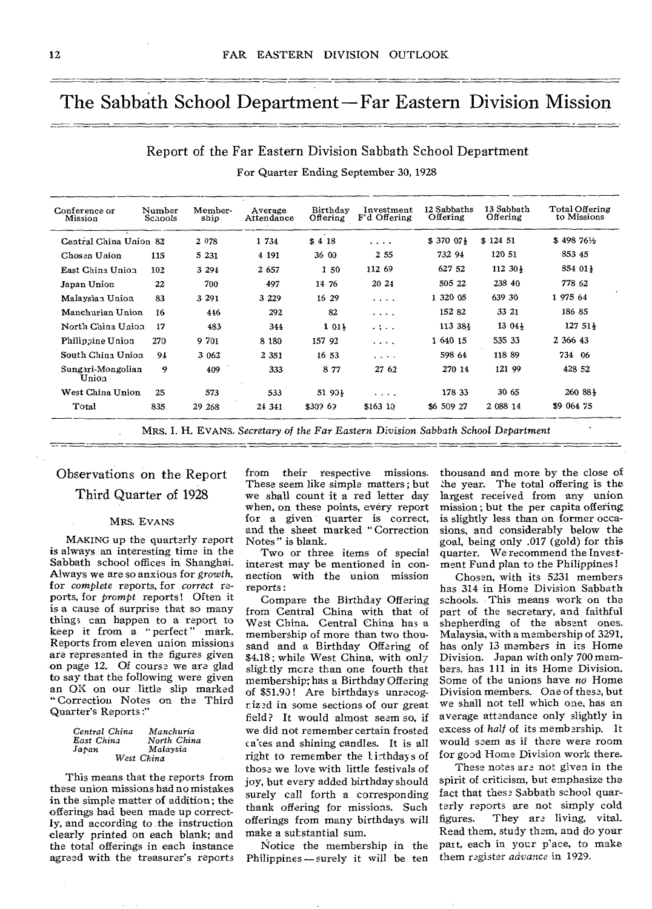### The Sabbath School Department — Far Eastern Division Mission

### Report of the Far Eastern Division Sabbath School Department For Quarter Ending September 30, 1928

| Conference or<br>Mission   | Number<br><b>Schools</b> | Member-<br>ship. | Average<br>Attendance | Birthday<br>Offering | Investment<br>F'd Offering                | 12 Sabbaths<br>Offering | 13 Sabbath<br>Offering | Total Offering<br>to Missions |
|----------------------------|--------------------------|------------------|-----------------------|----------------------|-------------------------------------------|-------------------------|------------------------|-------------------------------|
| Central China Union 82     |                          | 2 0 7 8          | 1 734                 | \$418                | .                                         | \$37007                 | \$124 51               | \$498761/2                    |
| Chosen Union               | 115                      | 5 2 3 1          | 4 1 9 1               | 36 00                | 2 5 5                                     | 732 94                  | 120 51                 | 853 45                        |
| East China Union           | 102                      | 3 2 9 4          | 2 657                 | 150                  | 112 69                                    | 627 52                  | $112.30\frac{1}{3}$    | 854 011                       |
| Japan Union                | 22                       | 700              | 497                   | 14 76                | 20 24                                     | 505 22                  | 238 40                 | 778 62                        |
| Malaysian Union            | 83                       | 3 2 9 1          | 3 2 2 9               | 16 29                | .                                         | 1 320 05                | 639 30                 | 1 975 64                      |
| Manchurian Union           | 16                       | 446              | 292                   | 82                   | $\cdots$                                  | 152 82                  | 33 21                  | 186 85                        |
| North China Union          | 17                       | 483              | 344                   | 1 011                | $-1 - 1$                                  | 113 38}                 | $13.04\frac{1}{3}$     | $12751\frac{1}{2}$            |
| Philippine Union           | 270                      | 9 701            | 8 1 8 0               | 157 92               | .                                         | 1 640 15                | 535 33                 | 2 366 43                      |
| South China Union          | 94                       | 3 062            | 2 3 5 1               | 1653                 | $\alpha$ , $\alpha$ , $\alpha$ , $\alpha$ | 598 64                  | 118 89                 | 734 06                        |
| Sungari-Mongolian<br>Union | 9                        | 409              | 333                   | 8 7 7                | 27 62                                     | 270 14                  | 121 99                 | 428 52                        |
| West China Union           | 25                       | 573              | 533                   | 51 90}               | $\cdots$                                  | 178 33                  | 30 65                  | 260 88 }                      |
| Total                      | 835                      | 29 268           | 24 341                | \$309.69             | \$163 10                                  | \$6 509 27              | 2 0 8 14               | \$9 064 75                    |

Observations on the Report Third Quarter of 1928

#### MRS. EVANS

MAKING up the quarterly report is always an interesting time in the Sabbath school offices in Shanghai. Always we are so anxious for *growth,*  for *complete* reports, for *correct* reports, for prompt reports! Often it is a cause of surprise that so many things can happen to a report to keep it from a " perfect " mark. Reports from eleven union missions are represented in the figures given on page 12. Of course we are glad to say that the following were given an OK on our little slip marked " Correction Notes on the Third Quarter's Reports:'

| Central China | Manchuria              |
|---------------|------------------------|
| East China    | North China            |
| Jaran         | Malaysia<br>West China |

This means that the reports from these union missions had no mistakes in the simple matter of addition; the offerings had been made up correctly, and according to the instruction clearly printed on each blank; and the total offerings in each instance agreed with the treasurer's reports from their respective missions. These seem like simple matters; but we shall count it a red letter day when, on these points, every report for a given quarter is correct, and the sheet marked " Correction Notes " is blank.

Two or three items of special interest may be mentioned in connection with the union mission reports :

Compare the Birthday Offering from Central China with that of West China. Central China has a membership of more than two thousand and a Birthday Offering of \$4.18; while West China, with only slightly more than one fourth that membership; has a Birthday Offering of \$51.90! Are birthdays unrecogriz3d in some sections of our great field? It would almost seem so, if we did not remember certain frosted cakes and shining candles. It is all right to remember the lithdays of those we love with little festivals of joy, but every added birthday should surely call forth a corresponding thank offering for missions. Such offerings from many birthdays will make a substantial sum.

Notice the membership in the Philippines - surely it will be ten thousand and more by the close of she year. The total offering is the largest received from any union mission ; but the per capita offering is slightly less than on former occasions, and considerably below the goal, being only .017 (gold) for this quarter. We recommend the Investment Fund plan to the Philippines !

Chosen, with its 5231 members has 314 in Home Division Sabbath schools. This means work on the part of the secretary, and faithful shepherding of the absent ones. Malaysia, with a membership of 3291, has only 13 members in its Home Division. Japan with only 700 members, has 111 in its Home Division, Some of the unions have *no* Home Division members. One of these, but we shall not tell which one, has an average attendance only slightly in excess of *half* of its membership. It would seem as if there were room for good Home Division work there.

These notes are not given in the spirit of criticism, but emphasize the fact that these Sabbath school quarterly reports are not simply cold figures. They are living, vital. Read them, study them, and do your part, each in, your p'ace, to make them register *advance* in 1929.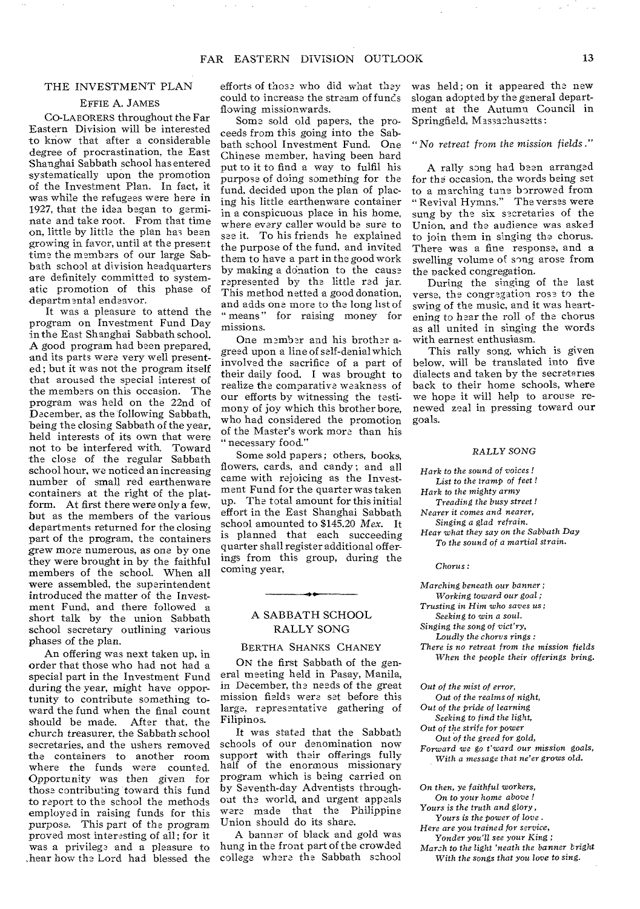### THE INVESTMENT PLAN

### EFFIE A. JAMES

CO-LAEORERS throughout the Far Eastern Division will be interested to know that after a considerable degree of procrastination, the East Shanghai Sabbath school has entered systematically upon the promotion of the Investment Plan. In fact, it was while the refugees were here in 1927, that the idea began to germinate and take root. From that time on, little by little the plan has been growing in favor, until at the present time the members of our large Sabbath school at division headquarters are definitely committed to systematic promotion of this phase of departmental endeavor.

It was a pleasure to attend the program on Investment Fund Day in the East Shanghai Sabbath school. A good program had been prepared, and its parts were very well presented; but it was not the program itself that aroused the special interest of the members on this occasion. The program was held on the 22nd of December, as the following Sabbath, being the closing Sabbath of the year, held interests of its own that were not to be interfered with. Toward the close of the regular Sabbath school hour, we noticed an increasing number of small red earthenware containers at the right of the platform. At first there were only a few, but as the members of the various departments returned for the closing part of the program, the containers grew more numerous, as one by one they were brought in by the faithful members of the school. When all were assembled, the superintendent introduced the matter of the Investment Fund, and there followed a short talk by the union Sabbath school secretary outlining various phases of the plan.

An offering was next taken up, in order that those who had not had a special part in the Investment Fund during the year, might have opportunity to contribute something toward the fund when the final count should be made. After that, the church treasurer, the Sabbath school secretaries, and the ushers removed the containers to another room where the funds were counted. Opportunity was then *given* for those contributing toward this fund to report to the school the methods employed in raising funds for this purpose. This part of the program proved most interesting of all ; for it was a privilege and a pleasure to ,hear how the Lord had blessed the

efforts of those who did what they could to increase the stream of funcs flowing missionwards.

Some sold old papers, the proceeds from this going into the Sabbath school Investment Fund. One Chinese member, having been hard put to it to find a way to fulfil his purpose of doing something for the fund, decided upon the plan of placing his little earthenware container in a conspicuous place in his home, where every caller would be sure to see it. To his friends he explained the purpose of the fund, and invited them to have a part in the good work by making a dOnation to the cause represented by the little red jar. This method netted a good donation, and adds one more to the long list of " means" for raising money for missions.

One member and his brother agreed upon a line of self-denial which involved the sacrifice of a part of their daily food. I was brought to realize the comparative weakness of our efforts by witnessing the testimony of joy which this brother bore, who had considered the promotion of the Master's work more than his " necessary food."

Some sold papers; others, books, flowers, cards, and candy ; and all came with rejoicing as the Investment Fund for the quarter was taken up. The total amount for this initial effort in the East Shanghai Sabbath school amounted to \$145.20 *Mex.* It is planned that each succeeding quarter shall register additional offerings from this group, during the coming year,

### A SABBATH SCHOOL RALLY SONG

### BERTHA SHANKS CHANEY

ON the first Sabbath of the general meeting held in Pasay, Manila, in December, the needs of the great mission fields were set before this large, representative gathering of Filipinos.

It was stated that the Sabbath schools of our denomination now support with their offerings fully half of the enormous missionary program which is being carried on by Seventh-day Adventists throughout the world, and urgent appeals ware made that the Philippine Union should do its share.

A banner of black and gold was hung in the front part of the crowded college where the Sabbath school was held; on it appeared the new slogan adopted by the general department at the Autumn Council in Springfield, Massachusetts:

### *"No retreat from the mission fields."*

A rally song had been arranged for the occasion, the words being set to a marching tune borrowed from " Revival Hymns." The verses were sung by the six secretaries of the Union, and the audience was asked to join them in singing the chorus. There was a fine response, and a swelling volume of song arose from the packed congregation.

During the singing of the last verse, the congregation rose to the swing of the music, and it was heartening to hear the roll of the chorus as all united in singing the words with earnest enthusiasm.

This rally song, which is given below, will be translated into five dialects and taken by the secretaries back to their home schools, where we hope it will help to arouse renewed zeal in pressing toward our goals.

#### RALLY *SONG*

- *Hark to the sound of voices ! List to the* tramp *of feet ! Hark to the mighty army*
- *Treading the busy street !*
- *Nearer it comes and nearer, Singing a glad refrain.*
- *Hear what they say on the Sabbath Day To the sound of a martial strain.*

*Chorus :* 

- *Marching beneath* our *banner ;*
- *Working toward our goal ;*
- *Trusting in Him* who *saves us;*
- *Seeking to win a soul.*
- *Singing the song of vict'ry, Loudly the chorus rings :*

*There is no retreat from the mission fields When the people their offerings bring.* 

*Out of the mist of error,* 

- *Out of the realms of night,*
- *Out of the* pride *of learning*
- *Seeking to find the light,*
- *Out of the strife for* power *Out of the greed for gold,*
- *Forward we go t'ward our mission goals,* 
	- *With a message that ne'er grows old.*

*On then, ye faithful* workers,

On *to your home above !*  Yours *is the* truth *and glory,* 

*Yours is the* power *of love .* 

*Here are you trained for service, Yonder you'll see your King ;* 

*Marzh to the light 'neath the banner bright With the songs that you love to sing.*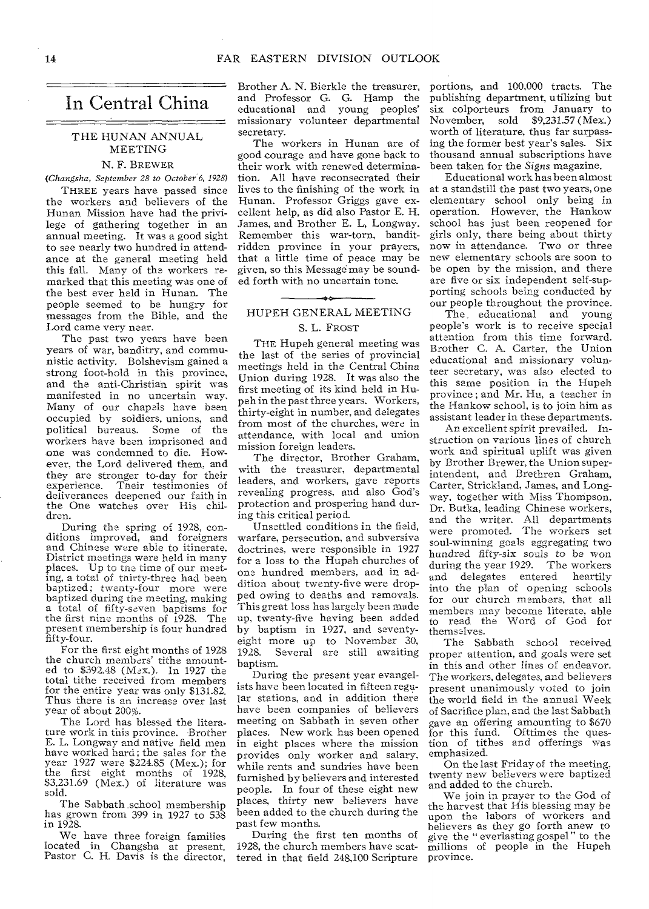### In Central China

### THE HUNAN ANNUAL MEETING

### N. F. BREWER

*(Changsha, September 28 to October 6, 1928)* 

THREE years have passed since the workers and believers of the Hunan Mission have had the privilege of gathering together in an annual meeting. It was a good sight to see nearly two hundred in attendance at the general meeting held this fall. Many of the workers remarked that this meeting was one of the best ever held in Hunan. The people seemed to be hungry for messages from the Bible, and the Lord came very near.

The past **two years** have been years **of war, banditry,** and communistic **activity. Bolshevism gained a strong foot-hold in this province, and the anti-Christian spirit was manifested in no uncertain way. Many of** our **chapels have been**  occupied **by soldiers, unions, and political bureaus. Some of the**  workers **have been imprisoned** and one was **condemned** to die. **However,** the Lord **delivered them,** and they **are stronger to-day for their**  Their testimonies of **deliverances deepened** our faith in the **One watches over** His children.

**During the spring of 1928, conditions improved, and foreigners**  and **Chinese were able to itinerate. District meetings were held in many places. Up to tne time of our meeting, a total of thirty-three had been baptized; twenty-four more were baptized during** the **meeting, making a total of fifty-seven baptisms for the first nine months of 1928.** The **present membership is four** hundred **fifty-four.** 

**For** the **first eight** months of 1928 the **church members'** tithe amount-ed to \$392.48 (Max.). In 1927 the total tithe **received** from members for the **entire year was** only \$131.82. Thus **there is an increase** over last year of **about 200%.** 

**The Lord has blessed** the literature **work in this** province. Brother E. L. Longway and native field men have worked **hard;** the sales for the year 1927 **were** \$224.85 (Max.); for the first **eight** months of 1928, \$3,231.69 **(Mex.)** of literature was sold.

The Sabbath school membership has grown from 399 in 1927 to 538 in 1928.

We have three foreign families located in Changsha at present. Pastor C. H. Davis is the director, Brother A. N. Bierkle the treasurer, and Professor G. G. Hamp the educational and young peoples' missionary volunteer departmental secretary.

The workers in Hunan are of good courage and have gone back to their work with renewed determination. All have reconsecrated their lives to the finishing of the work in Hunan. Professor Griggs gave excellent help, as did also Pastor E. H. James, and Brother E. L, Longway. Remember this war-torn, banditridden province in your prayers, that a little time of peace may be given, so this Message may be sounded forth with no uncertain tone.

### HUPEH GENERAL MEETING S. L. FROST

THE Hupeh general meeting was the last of the series of provincial meetings held in the Central China Union during 1928. It was also the first meeting of its kind held in Hupeh in the past three years. Workers, thirty-eight **in number,** and delegates from most of the churches, were **in**  attendance, with local and union mission **foreign** leaders.

The **director,** Brother Graham, **with** the **treasurer,** departmental **leaders,** and **workers, gave** reports **revealing progress, and also** God's protection and prospering hand during this critical period.

**Unsettled** conditions **in the field, warfare, persecution,** and **subversive doctrines, were** responsible in **1927 for a** loss to the **Hupeh churches of one** hundred **members, and in** addition about **twenty-five were dropped owing to deaths and removals. This great loss has largely been made up, twenty-five having been added by baptism in 1927, and seventyeight more up to November 30, 1928. Several are still awaiting baptism.** 

**During the present year evangelists have been located in fifteen regular stations, and in addition there**  have **been companies** of believers meeting **on Sabbath in** seven **other**  places. **New work** has been **opened**  in eight places **where** the mission provides only worker and salary, while rents and sundries have been furnished by believers and interested people. In four of these eight new places, thirty new believers have been added to the church during the past few months.

During the first ten months of 1928, the church members have scattered in that field 248,100 Scripture

portions, and 100,000 tracts. The publishing department, utilizing but six colporteurs from January to November, sold \$9,231.57 (Mex.) worth of literature, thus far surpassing the former best year's sales. Six thousand annual subscriptions have been taken for the *Signs* magazine.

Educational work has been almost at a standstill the past two years, one elementary school only being in operation. However, the Hankow school has just been reopened for girls only, there being about thirty now in attendance. Two or three new elementary schools are soon to be open by the **mission,** and there are five or six **independent** self-supporting **schools** being conducted by our people **throughout** the province.

The **educational and** young people's **work is to** receive special attention from **this time** forward. Brother C. A. **Carter,** the Union **educational and missionary** volunteer **secretary, was also elected** to this **same position in the Hupeh province ; and Mr. Hu, a** teacher in the **Hankow school, is to join** him as **assistant leader in these** departments.

**An excellent spirit prevailed. Instruction on various lines** of church **work and spiritual** uplift was given by **Brother Brewer, the** Union superintendent, **and Brethren** Graham, **Carter, Strickland, James,** and Long**way, together with Miss Thompson, Dr. Butka, leading Chinese** workers, **and the writer. All departments were promoted. The workers set soul-winning goals aggregating two**  hundred **fifty-six souls to be won during the year 1929. The workers and delegates entered heartily**  into **the plan of opening schools**  for **our church members, that all members may become literate, able**  to **read the Word of God for themselves.** 

**The Sabbath school received**  proper **attention, and goals were set**  in **this and other lines of endeavor.**  The **workers, delegates, and believers present unanimously voted to join the world field in the annual** Week **of Sacrifice plan, and** the last Sabbath gave an offering amounting to **\$670**  for this fund. Ofttimes **the question** of tithes **and offerings was**  emphasized.

On the last **Friday of the meeting,**  twenty new believers were baptized and added to the church.

We join in prayer **to the God of**  the harvest that His **blessing may be**  upon **the** labors of workers and believers as they go forth anew to<br>give the "everlasting gospel" to the give the " everlasting gospel" millions of people in the Hupeh province.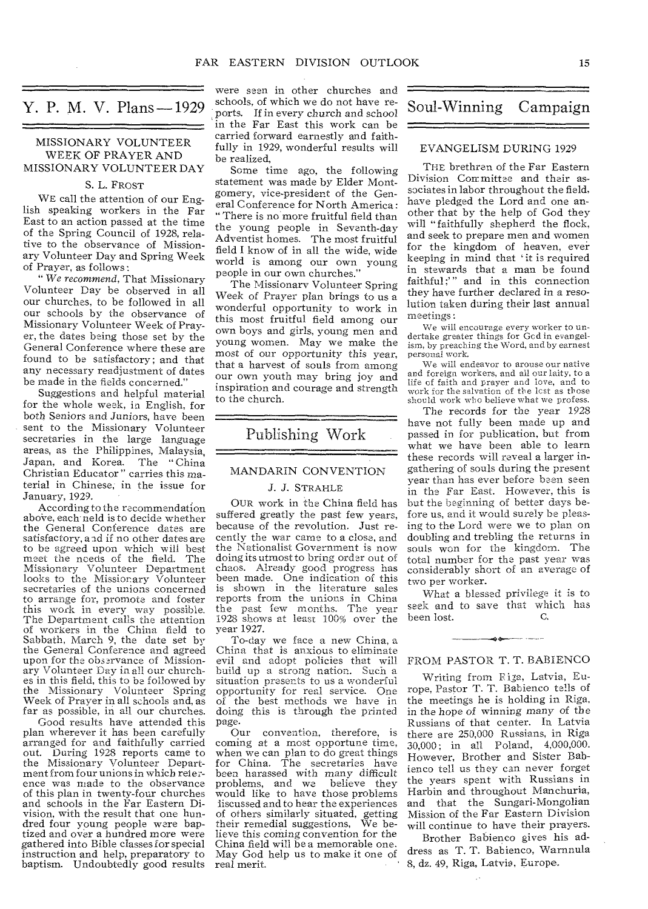### Y. P. M. V. Plans - 1929

### MISSIONARY VOLUNTEER WEEK OF PRAYER AND MISSIONARY VOLUNTEER DAY

### S. L. FROST

WE call the attention of our English speaking workers in the Far East to an action passed at the time of the Spring Council of 1928, relative to the observance of Missionary Volunteer Day and Spring Week of Prayer, as follows:

*" We recommend,* That Missionary Volunteer Day be observed in all our churches, to be followed in all our schools by the observance of Missionary Volunteer Week of Prayer, the **dates being those** set by the General **Conference where these** are found **to be satisfactory; and that any necessary readjustment of** dates **be made in the fields** concerned."

**Suggestions and** helpful material for **the whole week, in English, for both Seniors and Juniors, have** been sent **to the Missionary Volunteer secretaries** in the **large language areas, as the Philippines, Malaysia,**  Japan, **and Korea. The " China**  Christian **Educator"** carries **this material** in Chinese, **in** the issue **for**  January, 1929.

According **to the recommendation**  above, each neld is to decide whether the General Conference dates **are satisfactory, and if no other dates are to be agreed upon which will best meet the needs of the field. The Missionary Volunteer Department looks to the Missionary Volunteer secretaries of the unions concerned to arrange for, promote and foster this work in every way possible. The Department calls the attention of** workers **in the China field to Sabbath, March 9, the date set by the** General **Conference and agreed upon for the observance of** Missionary Volunteer **Day in all our** churches **in** this field, **this to be followed by**  the Missionary **Volunteer Spring Week of Prayer in all schools and,** as far **as possible, in all our** churches.

**Good results** have **attended** this plan **wherever it** has been **carefully**  arranged **for and** faithfully carried out. During **1928** reports came to the Missionary Volunteer Department from four unions in which reference was made to the observance of this plan in twenty-four churches and schools in the Far Eastern Division, with the result that one hundred four young people were baptized and over a hundred more were gathered into Bible classes for special instruction and help, preparatory to baptism. Undoubtedly good results

were seen in other churches and schools, of which we do not have reports. If in every church and school in the Far East this work can be carried forward earnestly and faithfully in 1929, wonderful results will be realized,

Some time ago, the following statement was made by Elder Montgomery, vice-president of the General Conference for North America: "There is no more fruitful field than the young people in Seventh-day Adventist homes. The most fruitful field I know of in all the wide, wide world is among our own young people in our own churches."

The **Missionary** Volunteer Spring Week of **Prayer** plan brings to us a wonderful opportunity to work in this most fruitful field among our own **boys** and girls, young men **and young women. May we make the**  most **of our opportunity this year,**  that a **harvest of** souls **from among**  our own **youth may** bring **joy and**  inspiration and courage and **strength**  to the church.

### Publishing Work

### MANDARIN CONVENTION

### J. J. STRAHLE

**OUR work in the China field has suffered greatly the past few years, because of the revolution. Just recently the war came to a close, and the Nationalist Government is now doing its** utmost **to bring order out of chaos. Already good progress has been made. One indication of this is shown in the literature sales reports from the unions in China the past few months. The year 1928 shows at least 100% over the year 1927.** 

**To-day we face a new China, a China that is anxious to eliminate evil and adopt policies that will build up a strong nation. Such a situation presents to us a wonderful opportunity for real service. One of the best methods we have in doing this is through the printed page.** 

**Our convention, therefore, is coming at a most opportune time,**  when **we can plan to do great things**  for **China.** The secretaries **have**  been harassed **with** many difficult problems, **and we** believe they would like to **have** those problems liscussed and to **hear the** experiences of others similarly situated, getting their remedial suggestions, We believe this coming convention for the China field will be a memorable one. May God help us to make it one of real merit.

### Soul-Winning Campaign

### EVANGELISM DURING 1929

THE brethren of the Far Eastern Division Committee and their associates in labor throughout the field, have pledged the Lord and one another that by the help of God they will "faithfully shepherd the flock, and seek to prepare men and women for the kingdom of heaven, ever keeping in mind that `it is required in stewards that a man be found faithful;" and in this connection they **have** further declared in a resolution **taken** during their last annual **meetings :** 

We will encourage every worker to undertake greater things for Gcd in evangelism, by preaching the Word, and by earnest personal work.

We will endeavor to **arouse** our native and foreign workers, and all our laity, to a life of faith and prayer and love, and to work for the salvation of the lest as those should work who believe what we profess.

**The records for the year 1928 have not fully been made up and passed in for publication, but from what we have been able to learn these records will reveal a larger ingathering of souls during the present year than has ever before been seen in the Far East. However, this is but the beginning of better days before us, and it would surely be pleasing to the Lord were we to plan on**  doubling **and trebling the returns in**  souls won **for the kingdom. The total number for the past year was considerably short of an average of two per worker.** 

**What a blessed privilege it is to seek and to save that which has been** lost.

### FROM **PASTOR T.** T. BABIENCO

• --- -

**Writing from Riga, Latvia, Europe, Pastor T.** T. **Babienco tells of**  the **meetings he** is holding **in** Riga, in the **hope of** winning **many of the**  Russians **of that center.** In Latvia **there are 250,000 Russians, in Riga 30,000 ;** in all **Poland,** 4,000,000. **However, Brother and Sister** Bab**ienco tell us** they **can** never forget **the years** spent **with** Russians **in Harbin** and throughout Manchuria, and that the Sungari-Mongolian Mission of the Far Eastern Division will continue to have their prayers.

Brother Babienco gives his address as T. T. Babienco, Warnnula 8, dz. 49, Riga, Latvia, Europe.